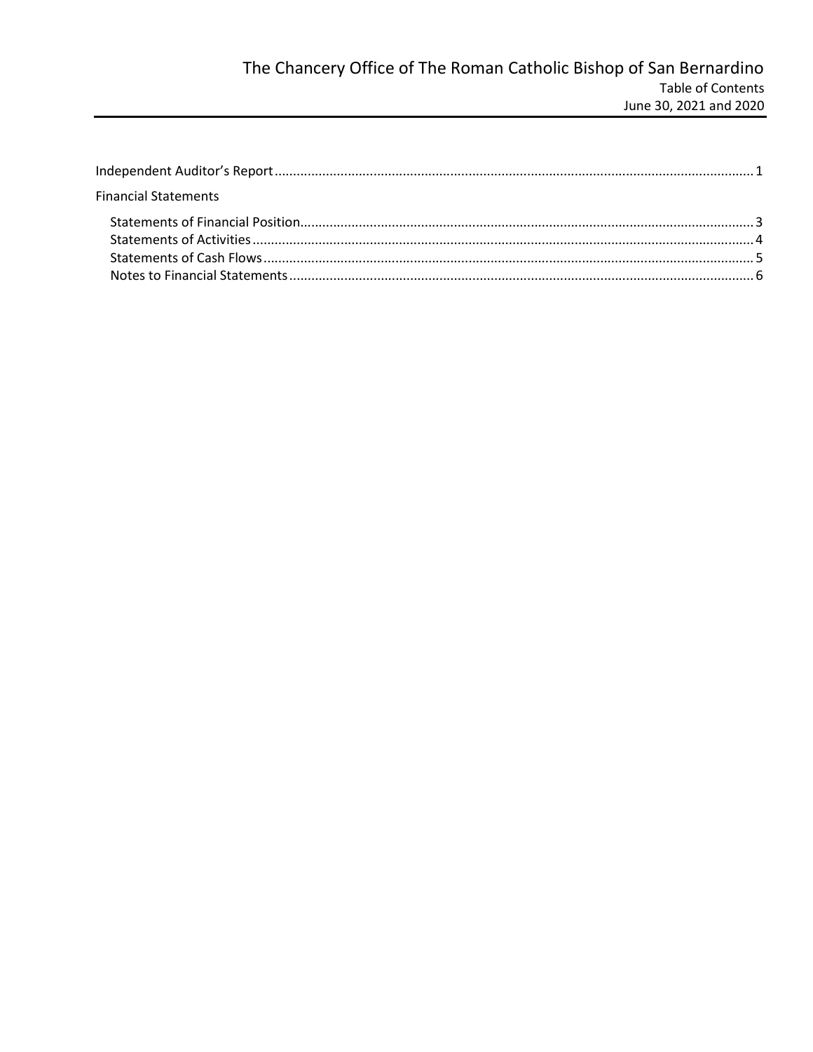| <b>Financial Statements</b> |  |
|-----------------------------|--|
|                             |  |
|                             |  |
|                             |  |
|                             |  |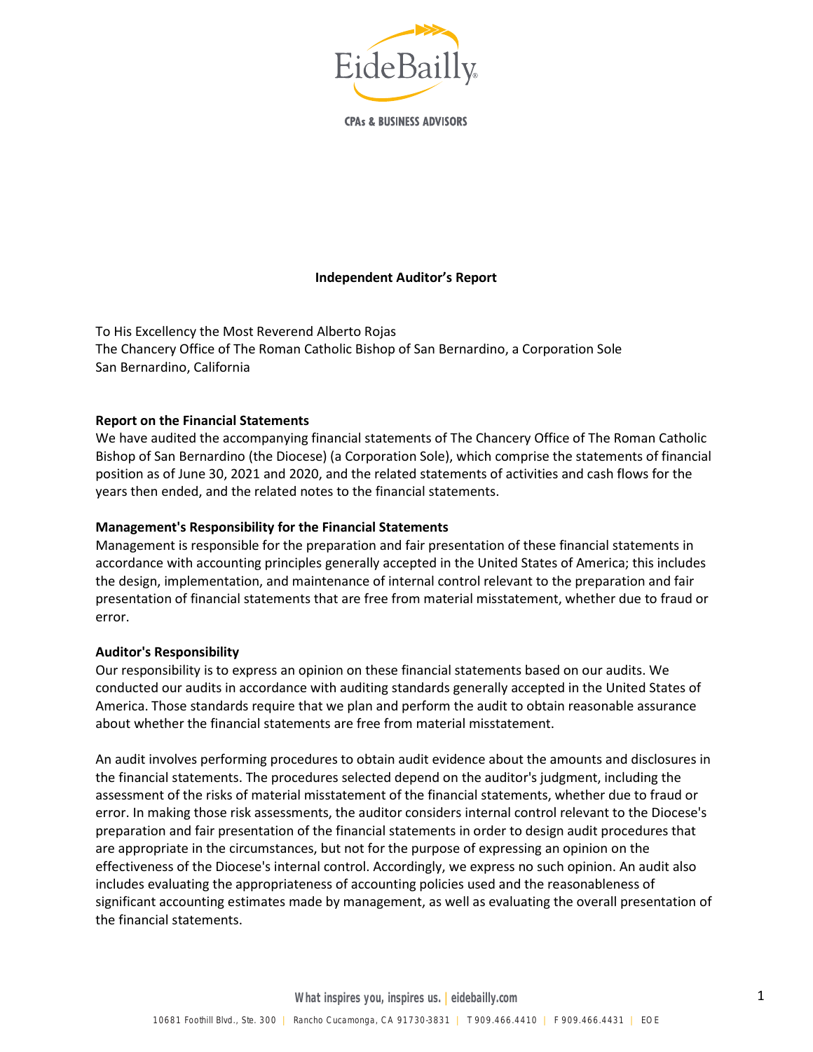

**CPAs & BUSINESS ADVISORS** 

### Independent Auditor's Report

To His Excellency the Most Reverend Alberto Rojas The Chancery Office of The Roman Catholic Bishop of San Bernardino, a Corporation Sole San Bernardino, California

#### Report on the Financial Statements

We have audited the accompanying financial statements of The Chancery Office of The Roman Catholic Bishop of San Bernardino (the Diocese) (a Corporation Sole), which comprise the statements of financial position as of June 30, 2021 and 2020, and the related statements of activities and cash flows for the years then ended, and the related notes to the financial statements.

#### Management's Responsibility for the Financial Statements

Management is responsible for the preparation and fair presentation of these financial statements in accordance with accounting principles generally accepted in the United States of America; this includes the design, implementation, and maintenance of internal control relevant to the preparation and fair presentation of financial statements that are free from material misstatement, whether due to fraud or error.

#### Auditor's Responsibility

Our responsibility is to express an opinion on these financial statements based on our audits. We conducted our audits in accordance with auditing standards generally accepted in the United States of America. Those standards require that we plan and perform the audit to obtain reasonable assurance about whether the financial statements are free from material misstatement.

An audit involves performing procedures to obtain audit evidence about the amounts and disclosures in the financial statements. The procedures selected depend on the auditor's judgment, including the assessment of the risks of material misstatement of the financial statements, whether due to fraud or error. In making those risk assessments, the auditor considers internal control relevant to the Diocese's preparation and fair presentation of the financial statements in order to design audit procedures that are appropriate in the circumstances, but not for the purpose of expressing an opinion on the effectiveness of the Diocese's internal control. Accordingly, we express no such opinion. An audit also includes evaluating the appropriateness of accounting policies used and the reasonableness of significant accounting estimates made by management, as well as evaluating the overall presentation of the financial statements.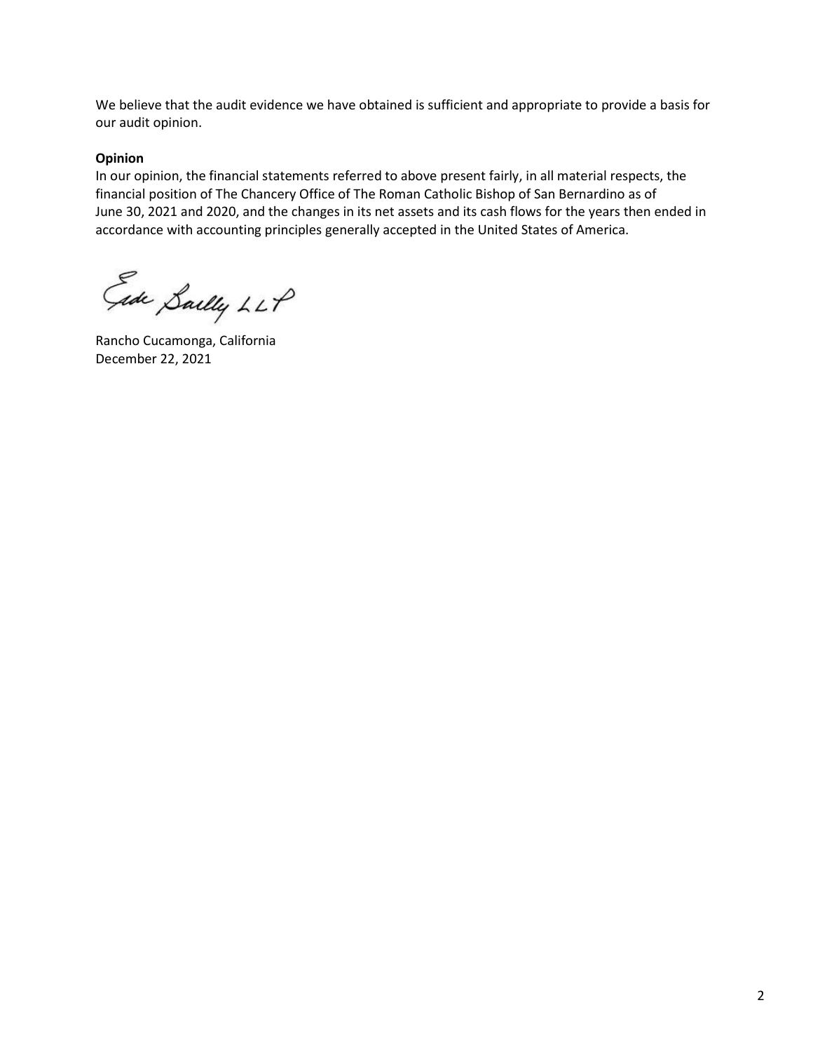We believe that the audit evidence we have obtained is sufficient and appropriate to provide a basis for our audit opinion.

### Opinion

In our opinion, the financial statements referred to above present fairly, in all material respects, the financial position of The Chancery Office of The Roman Catholic Bishop of San Bernardino as of June 30, 2021 and 2020, and the changes in its net assets and its cash flows for the years then ended in accordance with accounting principles generally accepted in the United States of America.

Ede Sailly LLP

Rancho Cucamonga, California December 22, 2021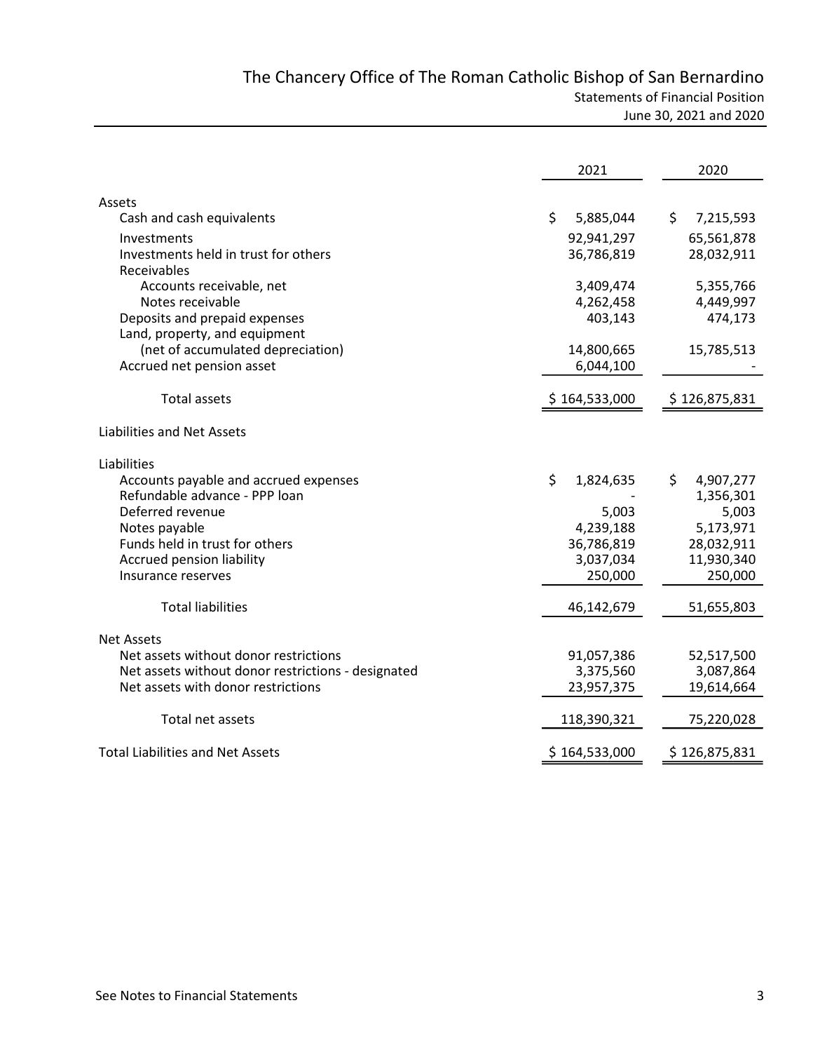|                                                    | 2021             | 2020            |
|----------------------------------------------------|------------------|-----------------|
| Assets                                             |                  |                 |
| Cash and cash equivalents                          | S.<br>5,885,044  | 7,215,593<br>S  |
| Investments                                        | 92,941,297       | 65,561,878      |
| Investments held in trust for others               | 36,786,819       | 28,032,911      |
| Receivables                                        |                  |                 |
| Accounts receivable, net                           | 3,409,474        | 5,355,766       |
| Notes receivable                                   | 4,262,458        | 4,449,997       |
| Deposits and prepaid expenses                      | 403,143          | 474,173         |
| Land, property, and equipment                      |                  |                 |
| (net of accumulated depreciation)                  | 14,800,665       | 15,785,513      |
| Accrued net pension asset                          | 6,044,100        |                 |
| <b>Total assets</b>                                | \$164,533,000    | \$126,875,831   |
| <b>Liabilities and Net Assets</b>                  |                  |                 |
| Liabilities                                        |                  |                 |
| Accounts payable and accrued expenses              | \$.<br>1,824,635 | \$<br>4,907,277 |
| Refundable advance - PPP loan                      |                  | 1,356,301       |
| Deferred revenue                                   | 5,003            | 5,003           |
| Notes payable                                      | 4,239,188        | 5,173,971       |
| Funds held in trust for others                     | 36,786,819       | 28,032,911      |
| Accrued pension liability                          | 3,037,034        | 11,930,340      |
| Insurance reserves                                 | 250,000          | 250,000         |
| <b>Total liabilities</b>                           | 46,142,679       | 51,655,803      |
| Net Assets                                         |                  |                 |
| Net assets without donor restrictions              | 91,057,386       | 52,517,500      |
| Net assets without donor restrictions - designated | 3,375,560        | 3,087,864       |
| Net assets with donor restrictions                 | 23,957,375       | 19,614,664      |
| Total net assets                                   | 118,390,321      | 75,220,028      |
| <b>Total Liabilities and Net Assets</b>            | \$164,533,000    | \$126,875,831   |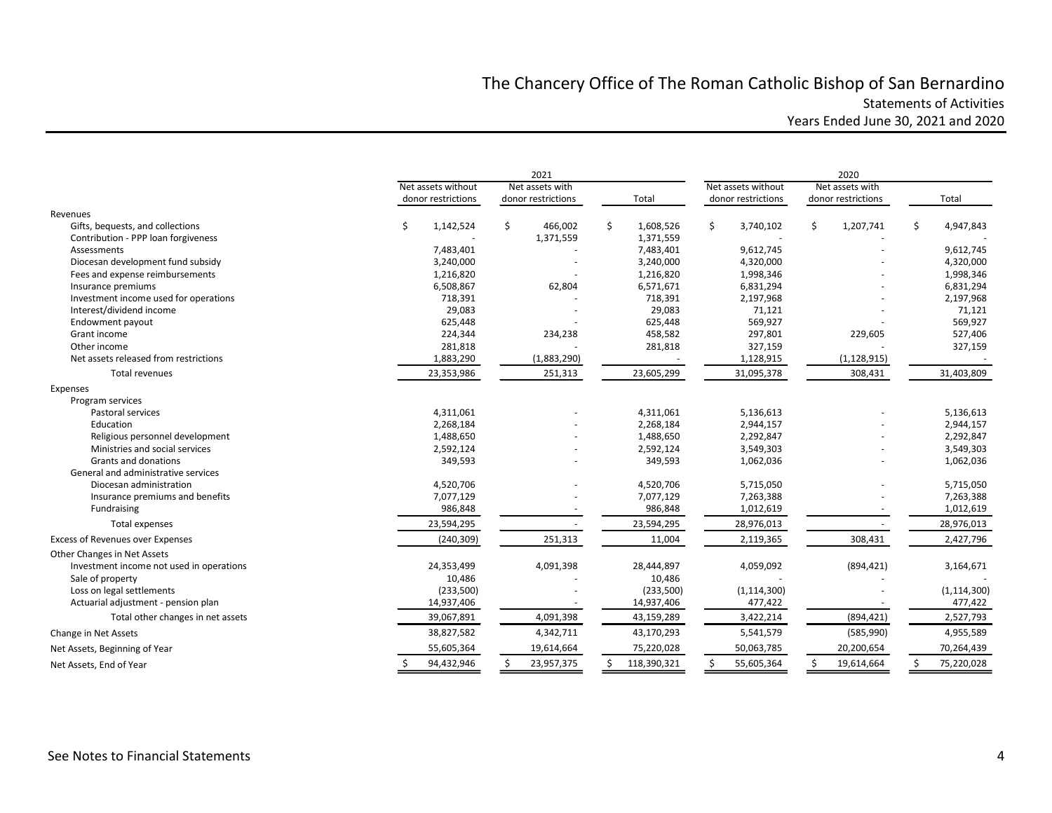# The Chancery Office of The Roman Catholic Bishop of San Bernardino Statements of Activities Years Ended June 30, 2021 and 2020

| Net assets without<br>Net assets without<br>Net assets with<br>Net assets with<br>donor restrictions<br>Total<br>Total<br>donor restrictions<br>donor restrictions<br>donor restrictions<br>Revenues<br>1,207,741<br>1,142,524<br>466,002<br>1,608,526<br>3,740,102<br>Gifts, bequests, and collections<br>Ŝ.<br>ς<br>1,371,559<br>1,371,559<br>Contribution - PPP loan forgiveness<br>7,483,401<br>7,483,401<br>9,612,745<br>9,612,745<br>Assessments<br>Diocesan development fund subsidy<br>3,240,000<br>3,240,000<br>4,320,000<br>4,320,000<br>Fees and expense reimbursements<br>1,216,820<br>1,216,820<br>1,998,346<br>1,998,346<br>62,804<br>6,831,294<br>6,508,867<br>6,571,671<br>6,831,294<br>Insurance premiums<br>2,197,968<br>718,391<br>718,391<br>2,197,968<br>Investment income used for operations<br>29,083<br>29,083<br>Interest/dividend income<br>71,121<br>71,121<br>569,927<br>625,448<br>625,448<br>569,927<br>Endowment payout<br>224,344<br>234,238<br>458,582<br>297,801<br>229,605<br>527,406<br>Grant income<br>281,818<br>Other income<br>281,818<br>327,159<br>Net assets released from restrictions<br>1,883,290<br>(1,883,290)<br>1,128,915<br>(1, 128, 915)<br>23,605,299<br>31,095,378<br>308,431<br><b>Total revenues</b><br>23,353,986<br>251,313<br>Expenses<br>Program services<br>Pastoral services<br>4,311,061<br>4,311,061<br>5,136,613<br>5,136,613<br>Education<br>2,268,184<br>2,268,184<br>2,944,157<br>2,944,157<br>1,488,650<br>1,488,650<br>2,292,847<br>Religious personnel development<br>2,592,124<br>3,549,303<br>3,549,303<br>Ministries and social services<br>2,592,124<br>349,593<br>349,593<br>Grants and donations<br>1,062,036<br>General and administrative services<br>Diocesan administration<br>4,520,706<br>4,520,706<br>5,715,050<br>7,077,129<br>7,077,129<br>7,263,388<br>Insurance premiums and benefits<br>Fundraising<br>986,848<br>986,848<br>1,012,619<br>$\overline{\phantom{a}}$<br>$\sim$<br>23,594,295<br>23,594,295<br>28,976,013<br>Total expenses<br>251,313<br>11,004<br>308,431<br>(240, 309)<br>2,119,365<br><b>Excess of Revenues over Expenses</b><br>Other Changes in Net Assets<br>24,353,499<br>4,091,398<br>Investment income not used in operations<br>28,444,897<br>4,059,092<br>(894, 421)<br>3,164,671<br>10,486<br>10,486<br>Sale of property<br>Loss on legal settlements<br>(233,500)<br>(233,500)<br>(1, 114, 300)<br>14,937,406<br>14,937,406<br>Actuarial adjustment - pension plan<br>477,422<br>$\overline{\phantom{a}}$<br>4,091,398<br>43,159,289<br>(894, 421)<br>Total other changes in net assets<br>39,067,891<br>3,422,214<br>38,827,582<br>(585,990)<br>4,342,711<br>43,170,293<br>5,541,579<br>Change in Net Assets<br>55,605,364<br>19,614,664<br>75,220,028<br>50,063,785<br>20,200,654<br>Net Assets, Beginning of Year<br>94,432,946<br>118,390,321<br>55,605,364<br>23,957,375<br>19,614,664<br>Net Assets, End of Year |  | 2021 |  |  | 2020 |               |  |  |  |
|---------------------------------------------------------------------------------------------------------------------------------------------------------------------------------------------------------------------------------------------------------------------------------------------------------------------------------------------------------------------------------------------------------------------------------------------------------------------------------------------------------------------------------------------------------------------------------------------------------------------------------------------------------------------------------------------------------------------------------------------------------------------------------------------------------------------------------------------------------------------------------------------------------------------------------------------------------------------------------------------------------------------------------------------------------------------------------------------------------------------------------------------------------------------------------------------------------------------------------------------------------------------------------------------------------------------------------------------------------------------------------------------------------------------------------------------------------------------------------------------------------------------------------------------------------------------------------------------------------------------------------------------------------------------------------------------------------------------------------------------------------------------------------------------------------------------------------------------------------------------------------------------------------------------------------------------------------------------------------------------------------------------------------------------------------------------------------------------------------------------------------------------------------------------------------------------------------------------------------------------------------------------------------------------------------------------------------------------------------------------------------------------------------------------------------------------------------------------------------------------------------------------------------------------------------------------------------------------------------------------------------------------------------------------------------------------------------------------------------------------------------------------------------------------------------------------------------------------------------------------------------------------------------------------------------------------|--|------|--|--|------|---------------|--|--|--|
|                                                                                                                                                                                                                                                                                                                                                                                                                                                                                                                                                                                                                                                                                                                                                                                                                                                                                                                                                                                                                                                                                                                                                                                                                                                                                                                                                                                                                                                                                                                                                                                                                                                                                                                                                                                                                                                                                                                                                                                                                                                                                                                                                                                                                                                                                                                                                                                                                                                                                                                                                                                                                                                                                                                                                                                                                                                                                                                                             |  |      |  |  |      |               |  |  |  |
|                                                                                                                                                                                                                                                                                                                                                                                                                                                                                                                                                                                                                                                                                                                                                                                                                                                                                                                                                                                                                                                                                                                                                                                                                                                                                                                                                                                                                                                                                                                                                                                                                                                                                                                                                                                                                                                                                                                                                                                                                                                                                                                                                                                                                                                                                                                                                                                                                                                                                                                                                                                                                                                                                                                                                                                                                                                                                                                                             |  |      |  |  |      |               |  |  |  |
|                                                                                                                                                                                                                                                                                                                                                                                                                                                                                                                                                                                                                                                                                                                                                                                                                                                                                                                                                                                                                                                                                                                                                                                                                                                                                                                                                                                                                                                                                                                                                                                                                                                                                                                                                                                                                                                                                                                                                                                                                                                                                                                                                                                                                                                                                                                                                                                                                                                                                                                                                                                                                                                                                                                                                                                                                                                                                                                                             |  |      |  |  |      |               |  |  |  |
|                                                                                                                                                                                                                                                                                                                                                                                                                                                                                                                                                                                                                                                                                                                                                                                                                                                                                                                                                                                                                                                                                                                                                                                                                                                                                                                                                                                                                                                                                                                                                                                                                                                                                                                                                                                                                                                                                                                                                                                                                                                                                                                                                                                                                                                                                                                                                                                                                                                                                                                                                                                                                                                                                                                                                                                                                                                                                                                                             |  |      |  |  |      | 4,947,843     |  |  |  |
|                                                                                                                                                                                                                                                                                                                                                                                                                                                                                                                                                                                                                                                                                                                                                                                                                                                                                                                                                                                                                                                                                                                                                                                                                                                                                                                                                                                                                                                                                                                                                                                                                                                                                                                                                                                                                                                                                                                                                                                                                                                                                                                                                                                                                                                                                                                                                                                                                                                                                                                                                                                                                                                                                                                                                                                                                                                                                                                                             |  |      |  |  |      |               |  |  |  |
|                                                                                                                                                                                                                                                                                                                                                                                                                                                                                                                                                                                                                                                                                                                                                                                                                                                                                                                                                                                                                                                                                                                                                                                                                                                                                                                                                                                                                                                                                                                                                                                                                                                                                                                                                                                                                                                                                                                                                                                                                                                                                                                                                                                                                                                                                                                                                                                                                                                                                                                                                                                                                                                                                                                                                                                                                                                                                                                                             |  |      |  |  |      |               |  |  |  |
|                                                                                                                                                                                                                                                                                                                                                                                                                                                                                                                                                                                                                                                                                                                                                                                                                                                                                                                                                                                                                                                                                                                                                                                                                                                                                                                                                                                                                                                                                                                                                                                                                                                                                                                                                                                                                                                                                                                                                                                                                                                                                                                                                                                                                                                                                                                                                                                                                                                                                                                                                                                                                                                                                                                                                                                                                                                                                                                                             |  |      |  |  |      |               |  |  |  |
|                                                                                                                                                                                                                                                                                                                                                                                                                                                                                                                                                                                                                                                                                                                                                                                                                                                                                                                                                                                                                                                                                                                                                                                                                                                                                                                                                                                                                                                                                                                                                                                                                                                                                                                                                                                                                                                                                                                                                                                                                                                                                                                                                                                                                                                                                                                                                                                                                                                                                                                                                                                                                                                                                                                                                                                                                                                                                                                                             |  |      |  |  |      |               |  |  |  |
|                                                                                                                                                                                                                                                                                                                                                                                                                                                                                                                                                                                                                                                                                                                                                                                                                                                                                                                                                                                                                                                                                                                                                                                                                                                                                                                                                                                                                                                                                                                                                                                                                                                                                                                                                                                                                                                                                                                                                                                                                                                                                                                                                                                                                                                                                                                                                                                                                                                                                                                                                                                                                                                                                                                                                                                                                                                                                                                                             |  |      |  |  |      |               |  |  |  |
|                                                                                                                                                                                                                                                                                                                                                                                                                                                                                                                                                                                                                                                                                                                                                                                                                                                                                                                                                                                                                                                                                                                                                                                                                                                                                                                                                                                                                                                                                                                                                                                                                                                                                                                                                                                                                                                                                                                                                                                                                                                                                                                                                                                                                                                                                                                                                                                                                                                                                                                                                                                                                                                                                                                                                                                                                                                                                                                                             |  |      |  |  |      |               |  |  |  |
|                                                                                                                                                                                                                                                                                                                                                                                                                                                                                                                                                                                                                                                                                                                                                                                                                                                                                                                                                                                                                                                                                                                                                                                                                                                                                                                                                                                                                                                                                                                                                                                                                                                                                                                                                                                                                                                                                                                                                                                                                                                                                                                                                                                                                                                                                                                                                                                                                                                                                                                                                                                                                                                                                                                                                                                                                                                                                                                                             |  |      |  |  |      |               |  |  |  |
|                                                                                                                                                                                                                                                                                                                                                                                                                                                                                                                                                                                                                                                                                                                                                                                                                                                                                                                                                                                                                                                                                                                                                                                                                                                                                                                                                                                                                                                                                                                                                                                                                                                                                                                                                                                                                                                                                                                                                                                                                                                                                                                                                                                                                                                                                                                                                                                                                                                                                                                                                                                                                                                                                                                                                                                                                                                                                                                                             |  |      |  |  |      |               |  |  |  |
|                                                                                                                                                                                                                                                                                                                                                                                                                                                                                                                                                                                                                                                                                                                                                                                                                                                                                                                                                                                                                                                                                                                                                                                                                                                                                                                                                                                                                                                                                                                                                                                                                                                                                                                                                                                                                                                                                                                                                                                                                                                                                                                                                                                                                                                                                                                                                                                                                                                                                                                                                                                                                                                                                                                                                                                                                                                                                                                                             |  |      |  |  |      |               |  |  |  |
|                                                                                                                                                                                                                                                                                                                                                                                                                                                                                                                                                                                                                                                                                                                                                                                                                                                                                                                                                                                                                                                                                                                                                                                                                                                                                                                                                                                                                                                                                                                                                                                                                                                                                                                                                                                                                                                                                                                                                                                                                                                                                                                                                                                                                                                                                                                                                                                                                                                                                                                                                                                                                                                                                                                                                                                                                                                                                                                                             |  |      |  |  |      | 327,159       |  |  |  |
|                                                                                                                                                                                                                                                                                                                                                                                                                                                                                                                                                                                                                                                                                                                                                                                                                                                                                                                                                                                                                                                                                                                                                                                                                                                                                                                                                                                                                                                                                                                                                                                                                                                                                                                                                                                                                                                                                                                                                                                                                                                                                                                                                                                                                                                                                                                                                                                                                                                                                                                                                                                                                                                                                                                                                                                                                                                                                                                                             |  |      |  |  |      |               |  |  |  |
|                                                                                                                                                                                                                                                                                                                                                                                                                                                                                                                                                                                                                                                                                                                                                                                                                                                                                                                                                                                                                                                                                                                                                                                                                                                                                                                                                                                                                                                                                                                                                                                                                                                                                                                                                                                                                                                                                                                                                                                                                                                                                                                                                                                                                                                                                                                                                                                                                                                                                                                                                                                                                                                                                                                                                                                                                                                                                                                                             |  |      |  |  |      | 31,403,809    |  |  |  |
|                                                                                                                                                                                                                                                                                                                                                                                                                                                                                                                                                                                                                                                                                                                                                                                                                                                                                                                                                                                                                                                                                                                                                                                                                                                                                                                                                                                                                                                                                                                                                                                                                                                                                                                                                                                                                                                                                                                                                                                                                                                                                                                                                                                                                                                                                                                                                                                                                                                                                                                                                                                                                                                                                                                                                                                                                                                                                                                                             |  |      |  |  |      |               |  |  |  |
|                                                                                                                                                                                                                                                                                                                                                                                                                                                                                                                                                                                                                                                                                                                                                                                                                                                                                                                                                                                                                                                                                                                                                                                                                                                                                                                                                                                                                                                                                                                                                                                                                                                                                                                                                                                                                                                                                                                                                                                                                                                                                                                                                                                                                                                                                                                                                                                                                                                                                                                                                                                                                                                                                                                                                                                                                                                                                                                                             |  |      |  |  |      |               |  |  |  |
|                                                                                                                                                                                                                                                                                                                                                                                                                                                                                                                                                                                                                                                                                                                                                                                                                                                                                                                                                                                                                                                                                                                                                                                                                                                                                                                                                                                                                                                                                                                                                                                                                                                                                                                                                                                                                                                                                                                                                                                                                                                                                                                                                                                                                                                                                                                                                                                                                                                                                                                                                                                                                                                                                                                                                                                                                                                                                                                                             |  |      |  |  |      |               |  |  |  |
|                                                                                                                                                                                                                                                                                                                                                                                                                                                                                                                                                                                                                                                                                                                                                                                                                                                                                                                                                                                                                                                                                                                                                                                                                                                                                                                                                                                                                                                                                                                                                                                                                                                                                                                                                                                                                                                                                                                                                                                                                                                                                                                                                                                                                                                                                                                                                                                                                                                                                                                                                                                                                                                                                                                                                                                                                                                                                                                                             |  |      |  |  |      |               |  |  |  |
|                                                                                                                                                                                                                                                                                                                                                                                                                                                                                                                                                                                                                                                                                                                                                                                                                                                                                                                                                                                                                                                                                                                                                                                                                                                                                                                                                                                                                                                                                                                                                                                                                                                                                                                                                                                                                                                                                                                                                                                                                                                                                                                                                                                                                                                                                                                                                                                                                                                                                                                                                                                                                                                                                                                                                                                                                                                                                                                                             |  |      |  |  |      | 2,292,847     |  |  |  |
|                                                                                                                                                                                                                                                                                                                                                                                                                                                                                                                                                                                                                                                                                                                                                                                                                                                                                                                                                                                                                                                                                                                                                                                                                                                                                                                                                                                                                                                                                                                                                                                                                                                                                                                                                                                                                                                                                                                                                                                                                                                                                                                                                                                                                                                                                                                                                                                                                                                                                                                                                                                                                                                                                                                                                                                                                                                                                                                                             |  |      |  |  |      |               |  |  |  |
|                                                                                                                                                                                                                                                                                                                                                                                                                                                                                                                                                                                                                                                                                                                                                                                                                                                                                                                                                                                                                                                                                                                                                                                                                                                                                                                                                                                                                                                                                                                                                                                                                                                                                                                                                                                                                                                                                                                                                                                                                                                                                                                                                                                                                                                                                                                                                                                                                                                                                                                                                                                                                                                                                                                                                                                                                                                                                                                                             |  |      |  |  |      | 1,062,036     |  |  |  |
|                                                                                                                                                                                                                                                                                                                                                                                                                                                                                                                                                                                                                                                                                                                                                                                                                                                                                                                                                                                                                                                                                                                                                                                                                                                                                                                                                                                                                                                                                                                                                                                                                                                                                                                                                                                                                                                                                                                                                                                                                                                                                                                                                                                                                                                                                                                                                                                                                                                                                                                                                                                                                                                                                                                                                                                                                                                                                                                                             |  |      |  |  |      |               |  |  |  |
|                                                                                                                                                                                                                                                                                                                                                                                                                                                                                                                                                                                                                                                                                                                                                                                                                                                                                                                                                                                                                                                                                                                                                                                                                                                                                                                                                                                                                                                                                                                                                                                                                                                                                                                                                                                                                                                                                                                                                                                                                                                                                                                                                                                                                                                                                                                                                                                                                                                                                                                                                                                                                                                                                                                                                                                                                                                                                                                                             |  |      |  |  |      | 5,715,050     |  |  |  |
|                                                                                                                                                                                                                                                                                                                                                                                                                                                                                                                                                                                                                                                                                                                                                                                                                                                                                                                                                                                                                                                                                                                                                                                                                                                                                                                                                                                                                                                                                                                                                                                                                                                                                                                                                                                                                                                                                                                                                                                                                                                                                                                                                                                                                                                                                                                                                                                                                                                                                                                                                                                                                                                                                                                                                                                                                                                                                                                                             |  |      |  |  |      | 7,263,388     |  |  |  |
|                                                                                                                                                                                                                                                                                                                                                                                                                                                                                                                                                                                                                                                                                                                                                                                                                                                                                                                                                                                                                                                                                                                                                                                                                                                                                                                                                                                                                                                                                                                                                                                                                                                                                                                                                                                                                                                                                                                                                                                                                                                                                                                                                                                                                                                                                                                                                                                                                                                                                                                                                                                                                                                                                                                                                                                                                                                                                                                                             |  |      |  |  |      | 1,012,619     |  |  |  |
|                                                                                                                                                                                                                                                                                                                                                                                                                                                                                                                                                                                                                                                                                                                                                                                                                                                                                                                                                                                                                                                                                                                                                                                                                                                                                                                                                                                                                                                                                                                                                                                                                                                                                                                                                                                                                                                                                                                                                                                                                                                                                                                                                                                                                                                                                                                                                                                                                                                                                                                                                                                                                                                                                                                                                                                                                                                                                                                                             |  |      |  |  |      | 28,976,013    |  |  |  |
|                                                                                                                                                                                                                                                                                                                                                                                                                                                                                                                                                                                                                                                                                                                                                                                                                                                                                                                                                                                                                                                                                                                                                                                                                                                                                                                                                                                                                                                                                                                                                                                                                                                                                                                                                                                                                                                                                                                                                                                                                                                                                                                                                                                                                                                                                                                                                                                                                                                                                                                                                                                                                                                                                                                                                                                                                                                                                                                                             |  |      |  |  |      | 2,427,796     |  |  |  |
|                                                                                                                                                                                                                                                                                                                                                                                                                                                                                                                                                                                                                                                                                                                                                                                                                                                                                                                                                                                                                                                                                                                                                                                                                                                                                                                                                                                                                                                                                                                                                                                                                                                                                                                                                                                                                                                                                                                                                                                                                                                                                                                                                                                                                                                                                                                                                                                                                                                                                                                                                                                                                                                                                                                                                                                                                                                                                                                                             |  |      |  |  |      |               |  |  |  |
|                                                                                                                                                                                                                                                                                                                                                                                                                                                                                                                                                                                                                                                                                                                                                                                                                                                                                                                                                                                                                                                                                                                                                                                                                                                                                                                                                                                                                                                                                                                                                                                                                                                                                                                                                                                                                                                                                                                                                                                                                                                                                                                                                                                                                                                                                                                                                                                                                                                                                                                                                                                                                                                                                                                                                                                                                                                                                                                                             |  |      |  |  |      |               |  |  |  |
|                                                                                                                                                                                                                                                                                                                                                                                                                                                                                                                                                                                                                                                                                                                                                                                                                                                                                                                                                                                                                                                                                                                                                                                                                                                                                                                                                                                                                                                                                                                                                                                                                                                                                                                                                                                                                                                                                                                                                                                                                                                                                                                                                                                                                                                                                                                                                                                                                                                                                                                                                                                                                                                                                                                                                                                                                                                                                                                                             |  |      |  |  |      |               |  |  |  |
|                                                                                                                                                                                                                                                                                                                                                                                                                                                                                                                                                                                                                                                                                                                                                                                                                                                                                                                                                                                                                                                                                                                                                                                                                                                                                                                                                                                                                                                                                                                                                                                                                                                                                                                                                                                                                                                                                                                                                                                                                                                                                                                                                                                                                                                                                                                                                                                                                                                                                                                                                                                                                                                                                                                                                                                                                                                                                                                                             |  |      |  |  |      | (1, 114, 300) |  |  |  |
|                                                                                                                                                                                                                                                                                                                                                                                                                                                                                                                                                                                                                                                                                                                                                                                                                                                                                                                                                                                                                                                                                                                                                                                                                                                                                                                                                                                                                                                                                                                                                                                                                                                                                                                                                                                                                                                                                                                                                                                                                                                                                                                                                                                                                                                                                                                                                                                                                                                                                                                                                                                                                                                                                                                                                                                                                                                                                                                                             |  |      |  |  |      | 477,422       |  |  |  |
|                                                                                                                                                                                                                                                                                                                                                                                                                                                                                                                                                                                                                                                                                                                                                                                                                                                                                                                                                                                                                                                                                                                                                                                                                                                                                                                                                                                                                                                                                                                                                                                                                                                                                                                                                                                                                                                                                                                                                                                                                                                                                                                                                                                                                                                                                                                                                                                                                                                                                                                                                                                                                                                                                                                                                                                                                                                                                                                                             |  |      |  |  |      | 2,527,793     |  |  |  |
|                                                                                                                                                                                                                                                                                                                                                                                                                                                                                                                                                                                                                                                                                                                                                                                                                                                                                                                                                                                                                                                                                                                                                                                                                                                                                                                                                                                                                                                                                                                                                                                                                                                                                                                                                                                                                                                                                                                                                                                                                                                                                                                                                                                                                                                                                                                                                                                                                                                                                                                                                                                                                                                                                                                                                                                                                                                                                                                                             |  |      |  |  |      | 4,955,589     |  |  |  |
|                                                                                                                                                                                                                                                                                                                                                                                                                                                                                                                                                                                                                                                                                                                                                                                                                                                                                                                                                                                                                                                                                                                                                                                                                                                                                                                                                                                                                                                                                                                                                                                                                                                                                                                                                                                                                                                                                                                                                                                                                                                                                                                                                                                                                                                                                                                                                                                                                                                                                                                                                                                                                                                                                                                                                                                                                                                                                                                                             |  |      |  |  |      | 70,264,439    |  |  |  |
|                                                                                                                                                                                                                                                                                                                                                                                                                                                                                                                                                                                                                                                                                                                                                                                                                                                                                                                                                                                                                                                                                                                                                                                                                                                                                                                                                                                                                                                                                                                                                                                                                                                                                                                                                                                                                                                                                                                                                                                                                                                                                                                                                                                                                                                                                                                                                                                                                                                                                                                                                                                                                                                                                                                                                                                                                                                                                                                                             |  |      |  |  |      | 75,220,028    |  |  |  |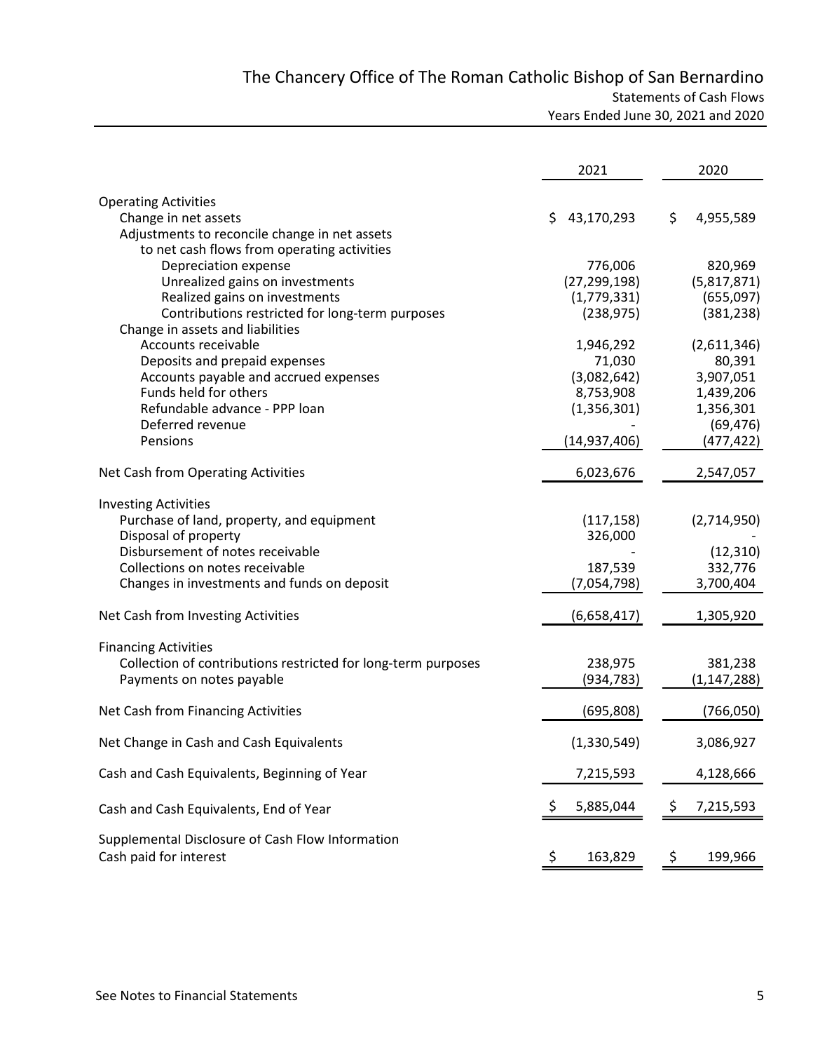| Years Ended June 30, 2021 and 2020 |
|------------------------------------|
|------------------------------------|

|                                                               | 2021              | 2020            |
|---------------------------------------------------------------|-------------------|-----------------|
| <b>Operating Activities</b>                                   |                   |                 |
| Change in net assets                                          | 43,170,293<br>\$. | \$<br>4,955,589 |
| Adjustments to reconcile change in net assets                 |                   |                 |
| to net cash flows from operating activities                   |                   |                 |
| Depreciation expense                                          | 776,006           | 820,969         |
| Unrealized gains on investments                               | (27, 299, 198)    | (5,817,871)     |
| Realized gains on investments                                 | (1,779,331)       | (655,097)       |
| Contributions restricted for long-term purposes               | (238, 975)        | (381, 238)      |
| Change in assets and liabilities                              |                   |                 |
| Accounts receivable                                           | 1,946,292         | (2,611,346)     |
| Deposits and prepaid expenses                                 | 71,030            | 80,391          |
| Accounts payable and accrued expenses                         | (3,082,642)       | 3,907,051       |
| Funds held for others                                         | 8,753,908         | 1,439,206       |
| Refundable advance - PPP loan                                 | (1,356,301)       | 1,356,301       |
| Deferred revenue                                              |                   | (69, 476)       |
| Pensions                                                      | (14,937,406)      | (477, 422)      |
| Net Cash from Operating Activities                            | 6,023,676         | 2,547,057       |
| <b>Investing Activities</b>                                   |                   |                 |
| Purchase of land, property, and equipment                     | (117, 158)        | (2,714,950)     |
| Disposal of property                                          | 326,000           |                 |
| Disbursement of notes receivable                              |                   | (12, 310)       |
| Collections on notes receivable                               | 187,539           | 332,776         |
| Changes in investments and funds on deposit                   | (7,054,798)       | 3,700,404       |
| Net Cash from Investing Activities                            | (6,658,417)       | 1,305,920       |
| <b>Financing Activities</b>                                   |                   |                 |
| Collection of contributions restricted for long-term purposes | 238,975           | 381,238         |
| Payments on notes payable                                     | (934, 783)        | (1, 147, 288)   |
| Net Cash from Financing Activities                            | (695, 808)        | (766, 050)      |
|                                                               |                   |                 |
| Net Change in Cash and Cash Equivalents                       | (1,330,549)       | 3,086,927       |
| Cash and Cash Equivalents, Beginning of Year                  | 7,215,593         | 4,128,666       |
| Cash and Cash Equivalents, End of Year                        | 5,885,044<br>\$   | \$<br>7,215,593 |
| Supplemental Disclosure of Cash Flow Information              |                   |                 |
| Cash paid for interest                                        | \$.<br>163,829    | \$<br>199,966   |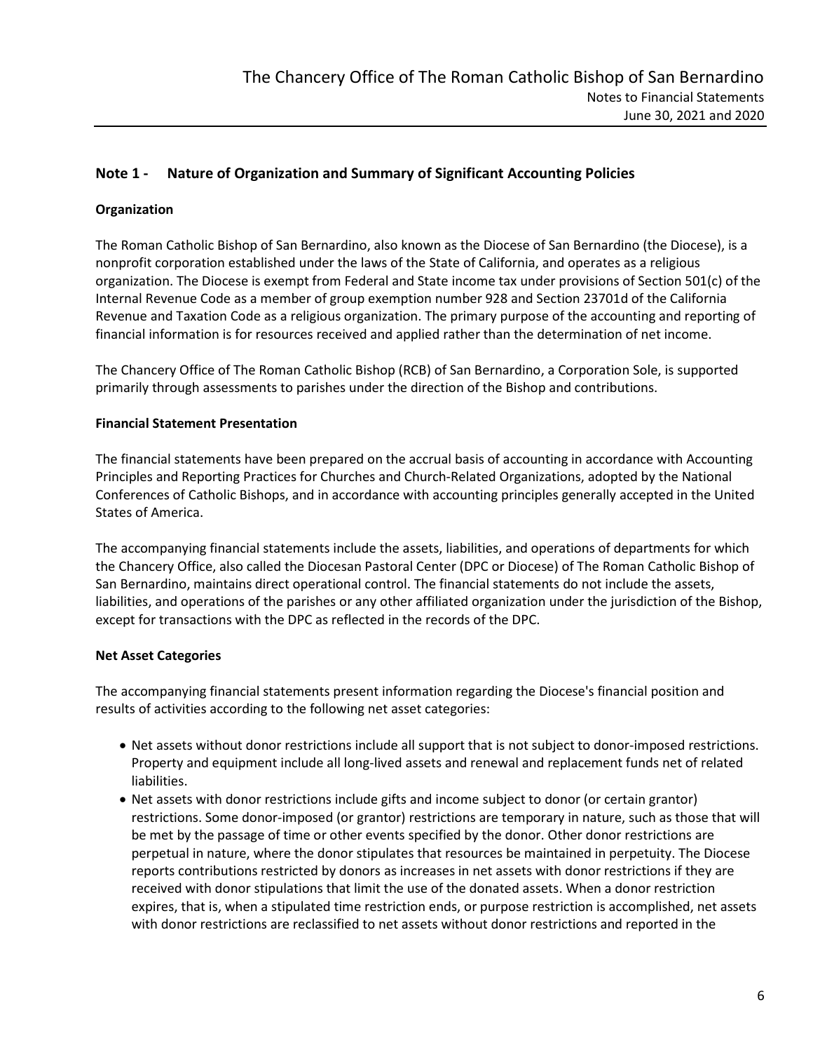### Note 1 - Nature of Organization and Summary of Significant Accounting Policies

### Organization

The Roman Catholic Bishop of San Bernardino, also known as the Diocese of San Bernardino (the Diocese), is a nonprofit corporation established under the laws of the State of California, and operates as a religious organization. The Diocese is exempt from Federal and State income tax under provisions of Section 501(c) of the Internal Revenue Code as a member of group exemption number 928 and Section 23701d of the California Revenue and Taxation Code as a religious organization. The primary purpose of the accounting and reporting of financial information is for resources received and applied rather than the determination of net income.

The Chancery Office of The Roman Catholic Bishop (RCB) of San Bernardino, a Corporation Sole, is supported primarily through assessments to parishes under the direction of the Bishop and contributions.

### Financial Statement Presentation

The financial statements have been prepared on the accrual basis of accounting in accordance with Accounting Principles and Reporting Practices for Churches and Church-Related Organizations, adopted by the National Conferences of Catholic Bishops, and in accordance with accounting principles generally accepted in the United States of America.

The accompanying financial statements include the assets, liabilities, and operations of departments for which the Chancery Office, also called the Diocesan Pastoral Center (DPC or Diocese) of The Roman Catholic Bishop of San Bernardino, maintains direct operational control. The financial statements do not include the assets, liabilities, and operations of the parishes or any other affiliated organization under the jurisdiction of the Bishop, except for transactions with the DPC as reflected in the records of the DPC.

### Net Asset Categories

The accompanying financial statements present information regarding the Diocese's financial position and results of activities according to the following net asset categories:

- Net assets without donor restrictions include all support that is not subject to donor-imposed restrictions. Property and equipment include all long-lived assets and renewal and replacement funds net of related liabilities.
- Net assets with donor restrictions include gifts and income subject to donor (or certain grantor) restrictions. Some donor-imposed (or grantor) restrictions are temporary in nature, such as those that will be met by the passage of time or other events specified by the donor. Other donor restrictions are perpetual in nature, where the donor stipulates that resources be maintained in perpetuity. The Diocese reports contributions restricted by donors as increases in net assets with donor restrictions if they are received with donor stipulations that limit the use of the donated assets. When a donor restriction expires, that is, when a stipulated time restriction ends, or purpose restriction is accomplished, net assets with donor restrictions are reclassified to net assets without donor restrictions and reported in the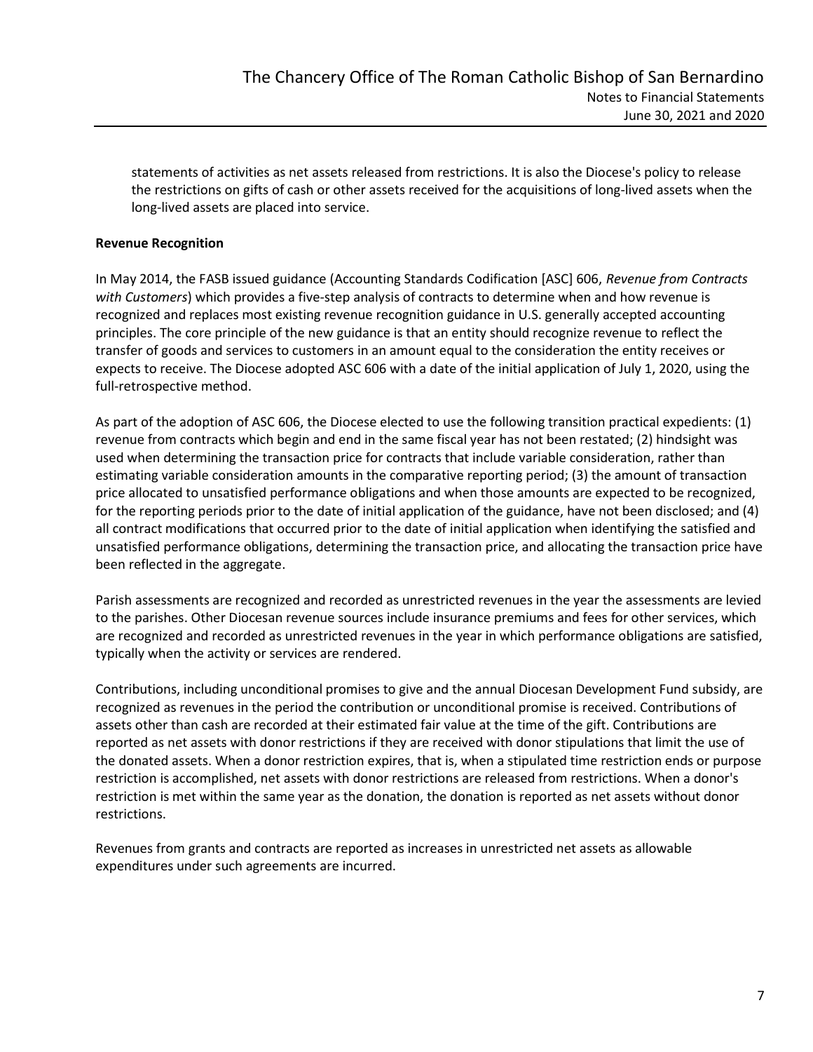statements of activities as net assets released from restrictions. It is also the Diocese's policy to release the restrictions on gifts of cash or other assets received for the acquisitions of long-lived assets when the long-lived assets are placed into service.

### Revenue Recognition

In May 2014, the FASB issued guidance (Accounting Standards Codification [ASC] 606, Revenue from Contracts with Customers) which provides a five-step analysis of contracts to determine when and how revenue is recognized and replaces most existing revenue recognition guidance in U.S. generally accepted accounting principles. The core principle of the new guidance is that an entity should recognize revenue to reflect the transfer of goods and services to customers in an amount equal to the consideration the entity receives or expects to receive. The Diocese adopted ASC 606 with a date of the initial application of July 1, 2020, using the full-retrospective method.

As part of the adoption of ASC 606, the Diocese elected to use the following transition practical expedients: (1) revenue from contracts which begin and end in the same fiscal year has not been restated; (2) hindsight was used when determining the transaction price for contracts that include variable consideration, rather than estimating variable consideration amounts in the comparative reporting period; (3) the amount of transaction price allocated to unsatisfied performance obligations and when those amounts are expected to be recognized, for the reporting periods prior to the date of initial application of the guidance, have not been disclosed; and (4) all contract modifications that occurred prior to the date of initial application when identifying the satisfied and unsatisfied performance obligations, determining the transaction price, and allocating the transaction price have been reflected in the aggregate.

Parish assessments are recognized and recorded as unrestricted revenues in the year the assessments are levied to the parishes. Other Diocesan revenue sources include insurance premiums and fees for other services, which are recognized and recorded as unrestricted revenues in the year in which performance obligations are satisfied, typically when the activity or services are rendered.

Contributions, including unconditional promises to give and the annual Diocesan Development Fund subsidy, are recognized as revenues in the period the contribution or unconditional promise is received. Contributions of assets other than cash are recorded at their estimated fair value at the time of the gift. Contributions are reported as net assets with donor restrictions if they are received with donor stipulations that limit the use of the donated assets. When a donor restriction expires, that is, when a stipulated time restriction ends or purpose restriction is accomplished, net assets with donor restrictions are released from restrictions. When a donor's restriction is met within the same year as the donation, the donation is reported as net assets without donor restrictions.

Revenues from grants and contracts are reported as increases in unrestricted net assets as allowable expenditures under such agreements are incurred.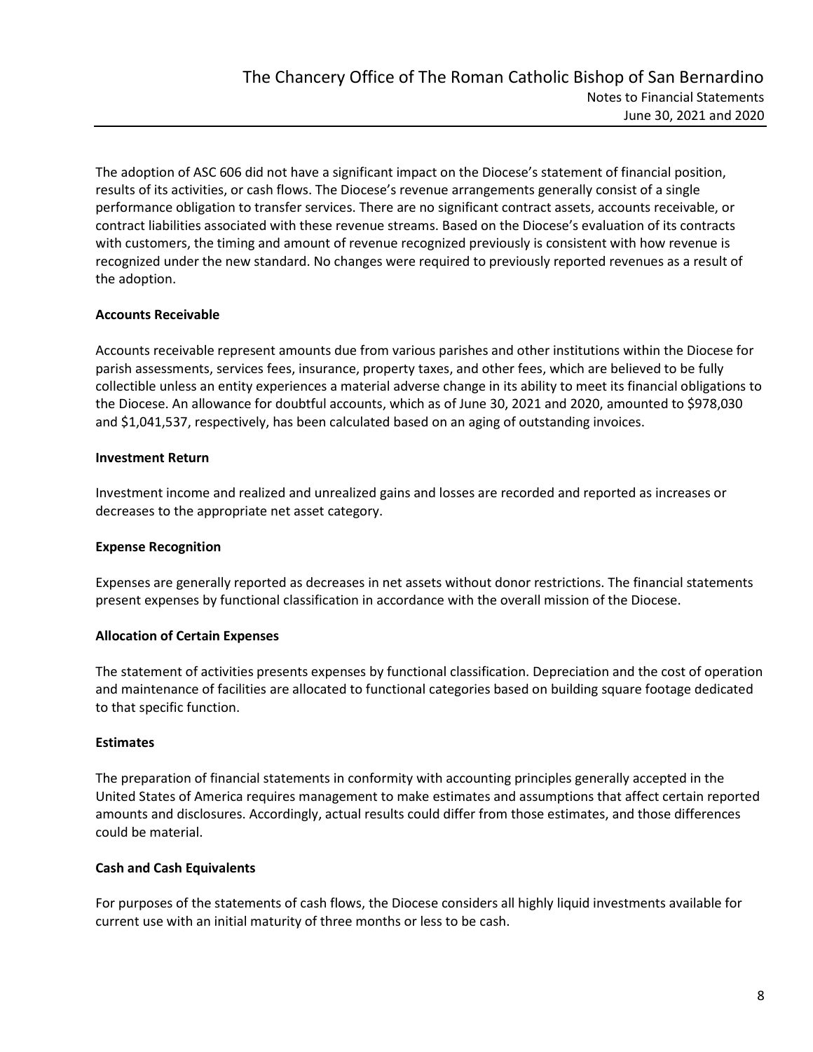The adoption of ASC 606 did not have a significant impact on the Diocese's statement of financial position, results of its activities, or cash flows. The Diocese's revenue arrangements generally consist of a single performance obligation to transfer services. There are no significant contract assets, accounts receivable, or contract liabilities associated with these revenue streams. Based on the Diocese's evaluation of its contracts with customers, the timing and amount of revenue recognized previously is consistent with how revenue is recognized under the new standard. No changes were required to previously reported revenues as a result of the adoption.

### Accounts Receivable

Accounts receivable represent amounts due from various parishes and other institutions within the Diocese for parish assessments, services fees, insurance, property taxes, and other fees, which are believed to be fully collectible unless an entity experiences a material adverse change in its ability to meet its financial obligations to the Diocese. An allowance for doubtful accounts, which as of June 30, 2021 and 2020, amounted to \$978,030 and \$1,041,537, respectively, has been calculated based on an aging of outstanding invoices.

### Investment Return

Investment income and realized and unrealized gains and losses are recorded and reported as increases or decreases to the appropriate net asset category.

### Expense Recognition

Expenses are generally reported as decreases in net assets without donor restrictions. The financial statements present expenses by functional classification in accordance with the overall mission of the Diocese.

### Allocation of Certain Expenses

The statement of activities presents expenses by functional classification. Depreciation and the cost of operation and maintenance of facilities are allocated to functional categories based on building square footage dedicated to that specific function.

### **Estimates**

The preparation of financial statements in conformity with accounting principles generally accepted in the United States of America requires management to make estimates and assumptions that affect certain reported amounts and disclosures. Accordingly, actual results could differ from those estimates, and those differences could be material.

### Cash and Cash Equivalents

For purposes of the statements of cash flows, the Diocese considers all highly liquid investments available for current use with an initial maturity of three months or less to be cash.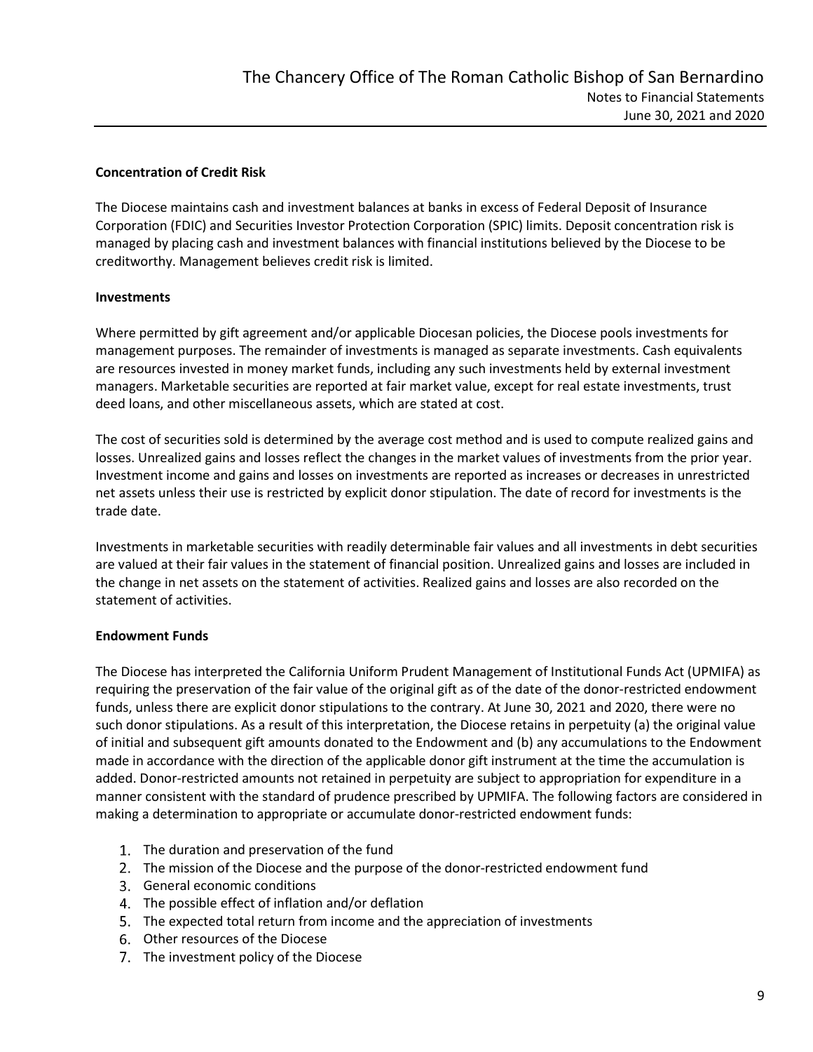### Concentration of Credit Risk

The Diocese maintains cash and investment balances at banks in excess of Federal Deposit of Insurance Corporation (FDIC) and Securities Investor Protection Corporation (SPIC) limits. Deposit concentration risk is managed by placing cash and investment balances with financial institutions believed by the Diocese to be creditworthy. Management believes credit risk is limited.

### **Investments**

Where permitted by gift agreement and/or applicable Diocesan policies, the Diocese pools investments for management purposes. The remainder of investments is managed as separate investments. Cash equivalents are resources invested in money market funds, including any such investments held by external investment managers. Marketable securities are reported at fair market value, except for real estate investments, trust deed loans, and other miscellaneous assets, which are stated at cost.

The cost of securities sold is determined by the average cost method and is used to compute realized gains and losses. Unrealized gains and losses reflect the changes in the market values of investments from the prior year. Investment income and gains and losses on investments are reported as increases or decreases in unrestricted net assets unless their use is restricted by explicit donor stipulation. The date of record for investments is the trade date.

Investments in marketable securities with readily determinable fair values and all investments in debt securities are valued at their fair values in the statement of financial position. Unrealized gains and losses are included in the change in net assets on the statement of activities. Realized gains and losses are also recorded on the statement of activities.

### Endowment Funds

The Diocese has interpreted the California Uniform Prudent Management of Institutional Funds Act (UPMIFA) as requiring the preservation of the fair value of the original gift as of the date of the donor-restricted endowment funds, unless there are explicit donor stipulations to the contrary. At June 30, 2021 and 2020, there were no such donor stipulations. As a result of this interpretation, the Diocese retains in perpetuity (a) the original value of initial and subsequent gift amounts donated to the Endowment and (b) any accumulations to the Endowment made in accordance with the direction of the applicable donor gift instrument at the time the accumulation is added. Donor-restricted amounts not retained in perpetuity are subject to appropriation for expenditure in a manner consistent with the standard of prudence prescribed by UPMIFA. The following factors are considered in making a determination to appropriate or accumulate donor-restricted endowment funds:

- 1. The duration and preservation of the fund
- The mission of the Diocese and the purpose of the donor-restricted endowment fund
- General economic conditions
- The possible effect of inflation and/or deflation
- 5. The expected total return from income and the appreciation of investments
- 6. Other resources of the Diocese
- 7. The investment policy of the Diocese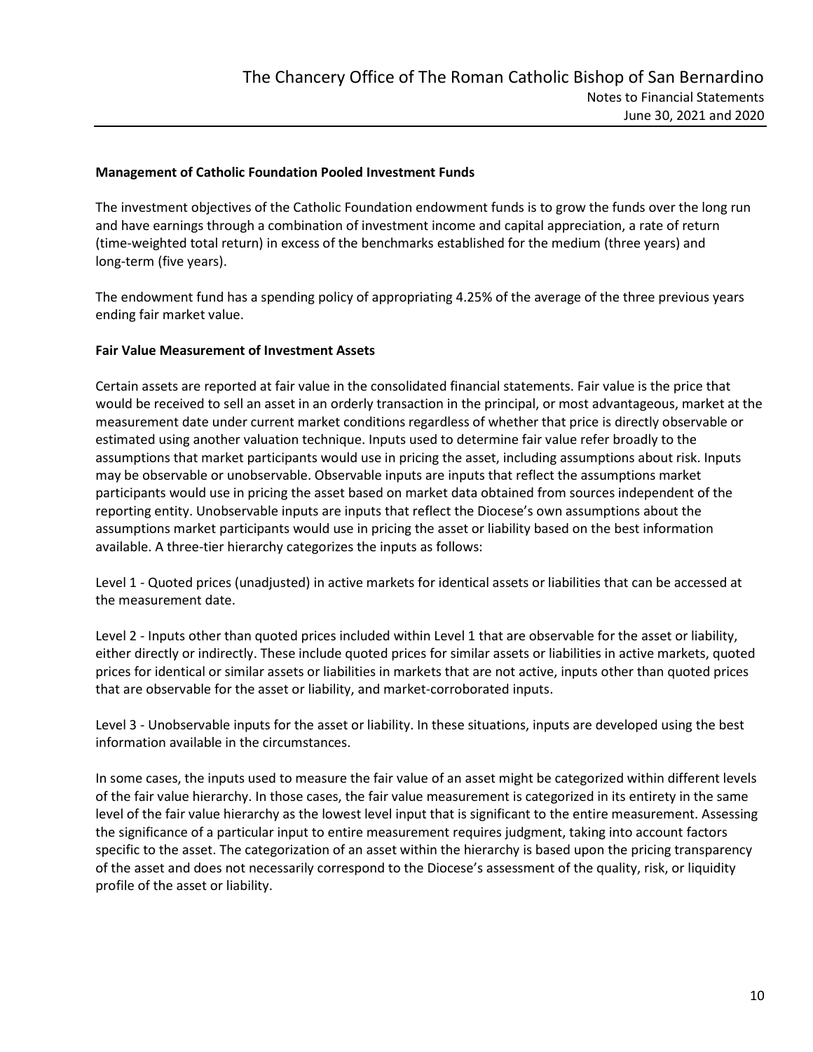### Management of Catholic Foundation Pooled Investment Funds

The investment objectives of the Catholic Foundation endowment funds is to grow the funds over the long run and have earnings through a combination of investment income and capital appreciation, a rate of return (time-weighted total return) in excess of the benchmarks established for the medium (three years) and long-term (five years).

The endowment fund has a spending policy of appropriating 4.25% of the average of the three previous years ending fair market value.

### Fair Value Measurement of Investment Assets

Certain assets are reported at fair value in the consolidated financial statements. Fair value is the price that would be received to sell an asset in an orderly transaction in the principal, or most advantageous, market at the measurement date under current market conditions regardless of whether that price is directly observable or estimated using another valuation technique. Inputs used to determine fair value refer broadly to the assumptions that market participants would use in pricing the asset, including assumptions about risk. Inputs may be observable or unobservable. Observable inputs are inputs that reflect the assumptions market participants would use in pricing the asset based on market data obtained from sources independent of the reporting entity. Unobservable inputs are inputs that reflect the Diocese's own assumptions about the assumptions market participants would use in pricing the asset or liability based on the best information available. A three-tier hierarchy categorizes the inputs as follows:

Level 1 - Quoted prices (unadjusted) in active markets for identical assets or liabilities that can be accessed at the measurement date.

Level 2 - Inputs other than quoted prices included within Level 1 that are observable for the asset or liability, either directly or indirectly. These include quoted prices for similar assets or liabilities in active markets, quoted prices for identical or similar assets or liabilities in markets that are not active, inputs other than quoted prices that are observable for the asset or liability, and market-corroborated inputs.

Level 3 - Unobservable inputs for the asset or liability. In these situations, inputs are developed using the best information available in the circumstances.

In some cases, the inputs used to measure the fair value of an asset might be categorized within different levels of the fair value hierarchy. In those cases, the fair value measurement is categorized in its entirety in the same level of the fair value hierarchy as the lowest level input that is significant to the entire measurement. Assessing the significance of a particular input to entire measurement requires judgment, taking into account factors specific to the asset. The categorization of an asset within the hierarchy is based upon the pricing transparency of the asset and does not necessarily correspond to the Diocese's assessment of the quality, risk, or liquidity profile of the asset or liability.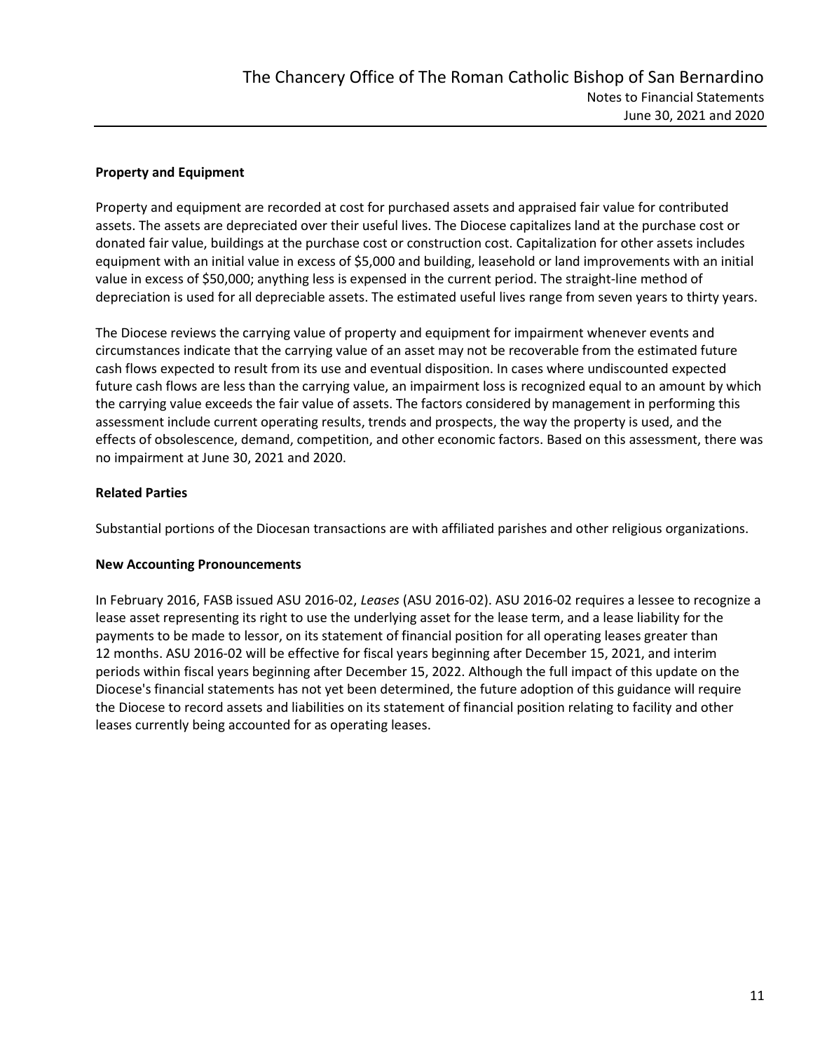### Property and Equipment

Property and equipment are recorded at cost for purchased assets and appraised fair value for contributed assets. The assets are depreciated over their useful lives. The Diocese capitalizes land at the purchase cost or donated fair value, buildings at the purchase cost or construction cost. Capitalization for other assets includes equipment with an initial value in excess of \$5,000 and building, leasehold or land improvements with an initial value in excess of \$50,000; anything less is expensed in the current period. The straight-line method of depreciation is used for all depreciable assets. The estimated useful lives range from seven years to thirty years.

The Diocese reviews the carrying value of property and equipment for impairment whenever events and circumstances indicate that the carrying value of an asset may not be recoverable from the estimated future cash flows expected to result from its use and eventual disposition. In cases where undiscounted expected future cash flows are less than the carrying value, an impairment loss is recognized equal to an amount by which the carrying value exceeds the fair value of assets. The factors considered by management in performing this assessment include current operating results, trends and prospects, the way the property is used, and the effects of obsolescence, demand, competition, and other economic factors. Based on this assessment, there was no impairment at June 30, 2021 and 2020.

### Related Parties

Substantial portions of the Diocesan transactions are with affiliated parishes and other religious organizations.

### New Accounting Pronouncements

In February 2016, FASB issued ASU 2016-02, Leases (ASU 2016-02). ASU 2016-02 requires a lessee to recognize a lease asset representing its right to use the underlying asset for the lease term, and a lease liability for the payments to be made to lessor, on its statement of financial position for all operating leases greater than 12 months. ASU 2016-02 will be effective for fiscal years beginning after December 15, 2021, and interim periods within fiscal years beginning after December 15, 2022. Although the full impact of this update on the Diocese's financial statements has not yet been determined, the future adoption of this guidance will require the Diocese to record assets and liabilities on its statement of financial position relating to facility and other leases currently being accounted for as operating leases.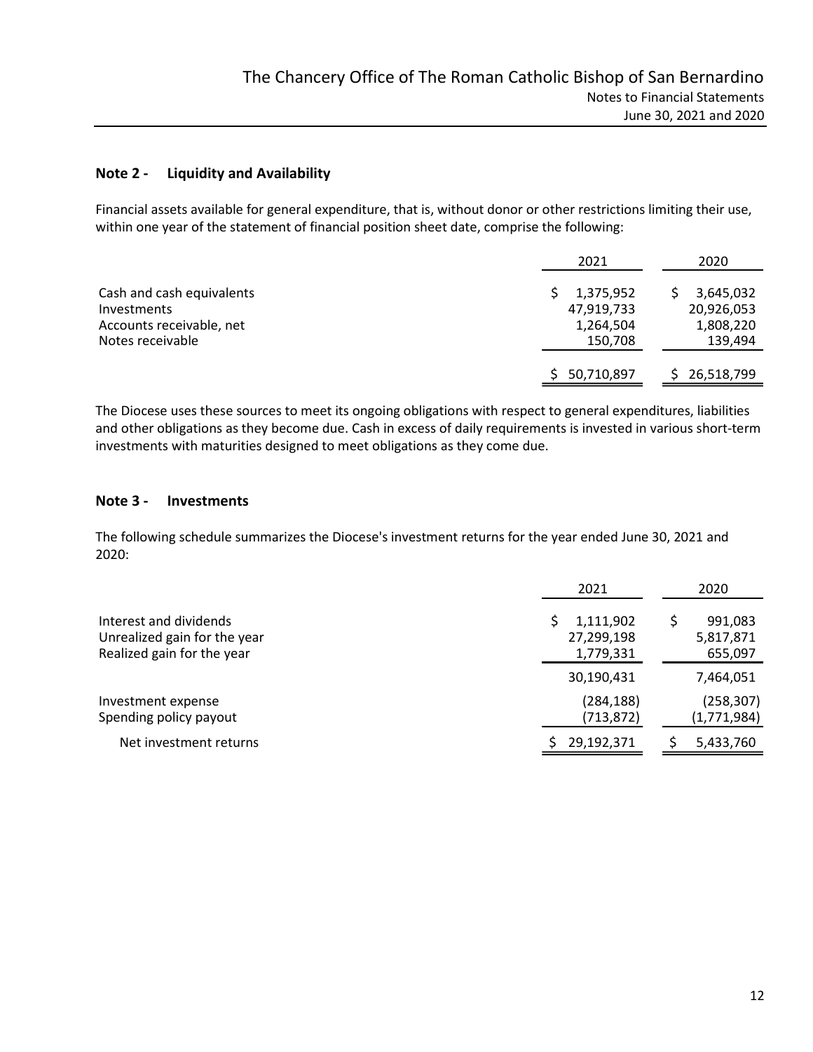### Note 2 - Liquidity and Availability

Financial assets available for general expenditure, that is, without donor or other restrictions limiting their use, within one year of the statement of financial position sheet date, comprise the following:

|                           | 2021       | 2020       |
|---------------------------|------------|------------|
| Cash and cash equivalents | 1,375,952  | 3,645,032  |
| Investments               | 47,919,733 | 20,926,053 |
| Accounts receivable, net  | 1,264,504  | 1,808,220  |
| Notes receivable          | 150,708    | 139,494    |
|                           | 50,710,897 | 26,518,799 |

The Diocese uses these sources to meet its ongoing obligations with respect to general expenditures, liabilities and other obligations as they become due. Cash in excess of daily requirements is invested in various short-term investments with maturities designed to meet obligations as they come due.

### Note 3 - Investments

The following schedule summarizes the Diocese's investment returns for the year ended June 30, 2021 and 2020:

|                                                                                      | 2021                                 | 2020                            |
|--------------------------------------------------------------------------------------|--------------------------------------|---------------------------------|
| Interest and dividends<br>Unrealized gain for the year<br>Realized gain for the year | 1,111,902<br>27,299,198<br>1,779,331 | 991,083<br>5,817,871<br>655,097 |
|                                                                                      | 30,190,431                           | 7,464,051                       |
| Investment expense<br>Spending policy payout                                         | (284, 188)<br>(713, 872)             | (258, 307)<br>(1,771,984)       |
| Net investment returns                                                               | 29,192,371                           | 5,433,760                       |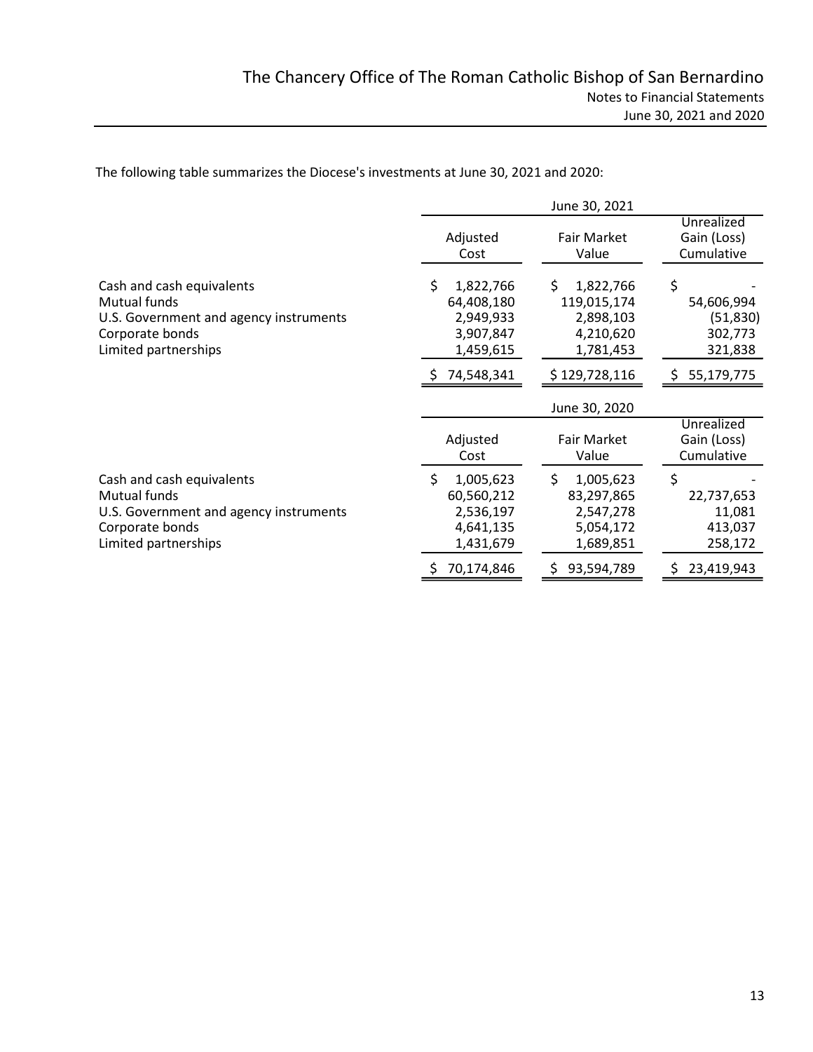|                                        |                  | June 30, 2021        |                                         |  |  |  |  |
|----------------------------------------|------------------|----------------------|-----------------------------------------|--|--|--|--|
|                                        | Adjusted<br>Cost | Fair Market<br>Value | Unrealized<br>Gain (Loss)<br>Cumulative |  |  |  |  |
| Cash and cash equivalents              | 1,822,766<br>Ś.  | 1,822,766<br>Ś.      | \$                                      |  |  |  |  |
| Mutual funds                           | 64,408,180       | 119,015,174          | 54,606,994                              |  |  |  |  |
| U.S. Government and agency instruments | 2,949,933        | 2,898,103            | (51, 830)                               |  |  |  |  |
| Corporate bonds                        | 3,907,847        | 4,210,620            | 302,773                                 |  |  |  |  |
| Limited partnerships                   | 1,459,615        | 1,781,453            | 321,838                                 |  |  |  |  |
|                                        | 74,548,341       | \$129,728,116        | 55,179,775                              |  |  |  |  |
|                                        |                  | June 30, 2020        |                                         |  |  |  |  |
|                                        | Adjusted<br>Cost | Fair Market<br>Value | Unrealized<br>Gain (Loss)<br>Cumulative |  |  |  |  |
| Cash and cash equivalents              | 1,005,623        | Ś.<br>1,005,623      | Ś                                       |  |  |  |  |
| Mutual funds                           | 60,560,212       | 83,297,865           | 22,737,653                              |  |  |  |  |
| U.S. Government and agency instruments | 2,536,197        | 2,547,278            | 11,081                                  |  |  |  |  |
| Corporate bonds                        | 4,641,135        | 5,054,172            | 413,037                                 |  |  |  |  |
| Limited partnerships                   | 1,431,679        | 1,689,851            | 258,172                                 |  |  |  |  |
|                                        | 70,174,846       | 93,594,789           | 23,419,943                              |  |  |  |  |

The following table summarizes the Diocese's investments at June 30, 2021 and 2020: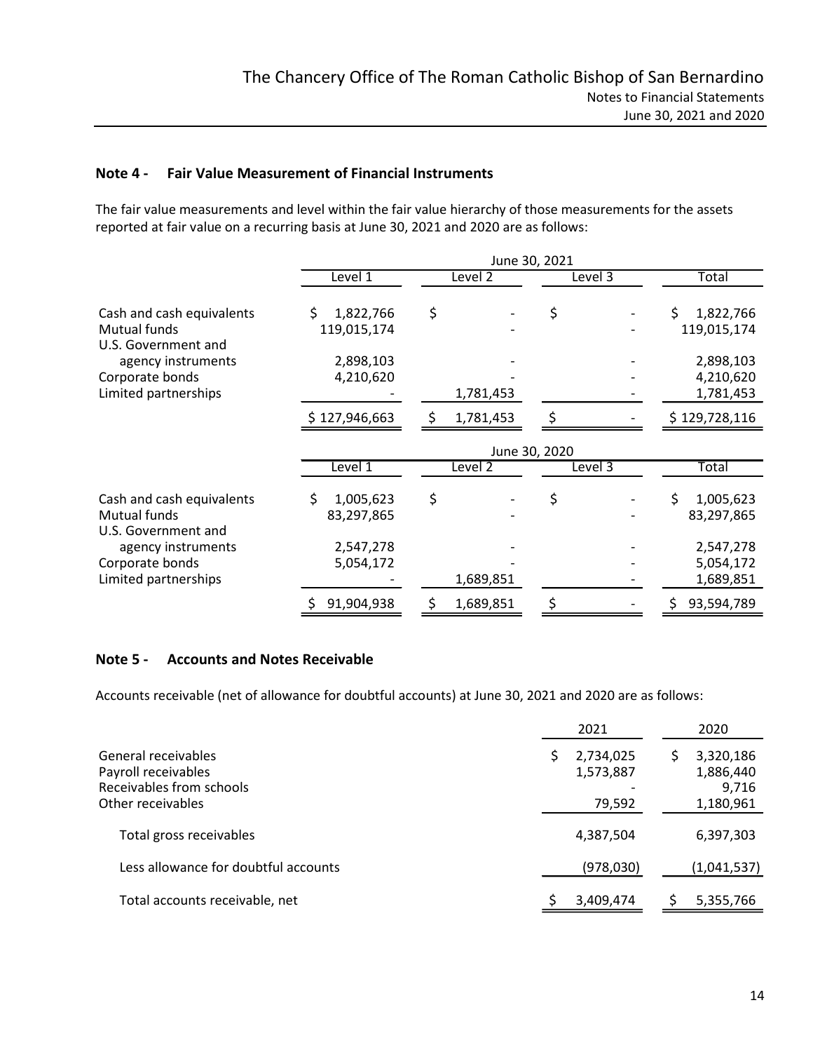### Note 4 - Fair Value Measurement of Financial Instruments

The fair value measurements and level within the fair value hierarchy of those measurements for the assets reported at fair value on a recurring basis at June 30, 2021 and 2020 are as follows:

|                                     |                  |                      | June 30, 2021 |                 |
|-------------------------------------|------------------|----------------------|---------------|-----------------|
|                                     | Level 1          | Level 2              | Level 3       | Total           |
| Cash and cash equivalents           | 1,822,766        | \$                   | \$            | 1,822,766       |
| Mutual funds<br>U.S. Government and | 119,015,174      |                      |               | 119,015,174     |
| agency instruments                  | 2,898,103        |                      |               | 2,898,103       |
| Corporate bonds                     | 4,210,620        |                      |               | 4,210,620       |
| Limited partnerships                |                  | 1,781,453            |               | 1,781,453       |
|                                     | \$127,946,663    | 1,781,453<br>S.      |               | \$129,728,116   |
|                                     |                  |                      | June 30, 2020 |                 |
|                                     | Level 1          | Level $\overline{2}$ | Level 3       | Total           |
| Cash and cash equivalents           | 1,005,623        | \$                   |               | 1,005,623       |
| Mutual funds<br>U.S. Government and | 83,297,865       |                      |               | 83,297,865      |
| agency instruments                  | 2,547,278        |                      |               | 2,547,278       |
| Corporate bonds                     | 5,054,172        |                      |               | 5,054,172       |
| Limited partnerships                |                  | 1,689,851            |               | 1,689,851       |
|                                     | 91,904,938<br>\$ | 1,689,851            | \$            | 93,594,789<br>S |

### Note 5 - Accounts and Notes Receivable

Accounts receivable (net of allowance for doubtful accounts) at June 30, 2021 and 2020 are as follows:

|                                                                                             | 2021                             | 2020                                         |  |
|---------------------------------------------------------------------------------------------|----------------------------------|----------------------------------------------|--|
| General receivables<br>Payroll receivables<br>Receivables from schools<br>Other receivables | 2,734,025<br>1,573,887<br>79,592 | 3,320,186<br>1,886,440<br>9,716<br>1,180,961 |  |
| Total gross receivables                                                                     | 4,387,504                        | 6,397,303                                    |  |
| Less allowance for doubtful accounts                                                        | (978,030)                        | (1,041,537)                                  |  |
| Total accounts receivable, net                                                              | 3,409,474                        | 5,355,766                                    |  |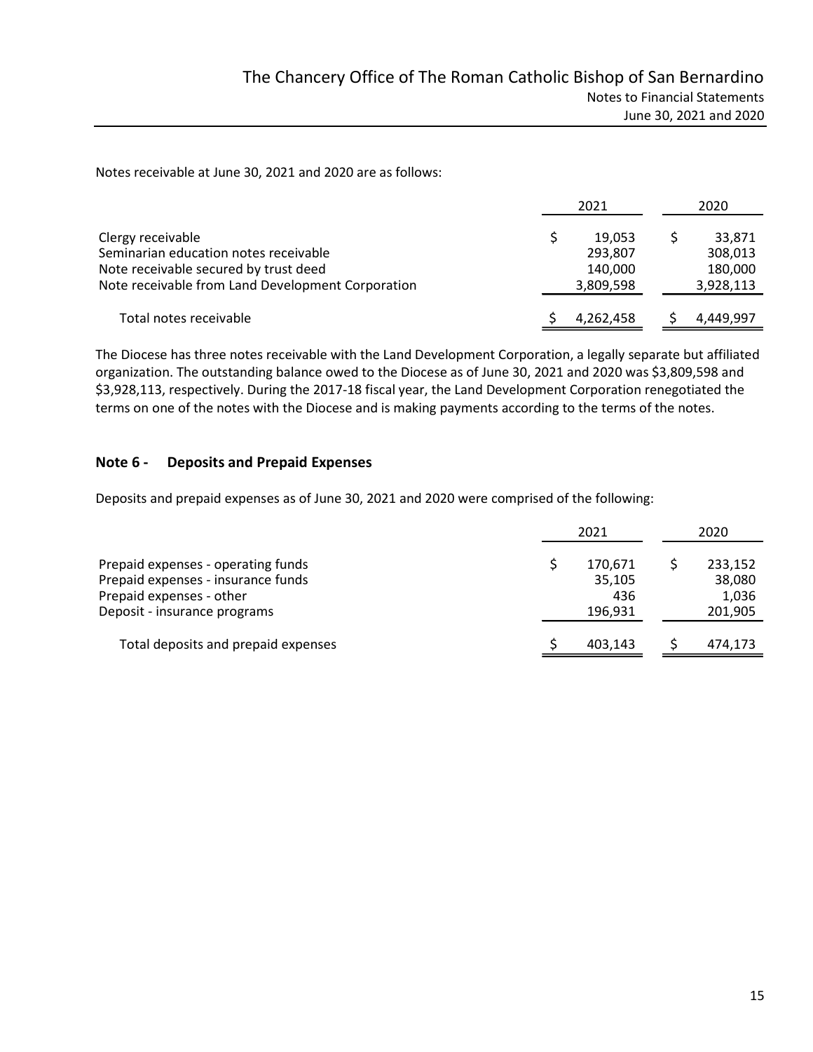Notes receivable at June 30, 2021 and 2020 are as follows:

|                                                   | 2021 |           | 2020 |           |  |  |
|---------------------------------------------------|------|-----------|------|-----------|--|--|
| Clergy receivable                                 |      | 19.053    |      | 33,871    |  |  |
| Seminarian education notes receivable             |      | 293,807   |      | 308,013   |  |  |
| Note receivable secured by trust deed             |      | 140,000   |      | 180,000   |  |  |
| Note receivable from Land Development Corporation |      | 3,809,598 |      | 3,928,113 |  |  |
| Total notes receivable                            |      | 4,262,458 |      | 4,449,997 |  |  |

The Diocese has three notes receivable with the Land Development Corporation, a legally separate but affiliated organization. The outstanding balance owed to the Diocese as of June 30, 2021 and 2020 was \$3,809,598 and \$3,928,113, respectively. During the 2017-18 fiscal year, the Land Development Corporation renegotiated the terms on one of the notes with the Diocese and is making payments according to the terms of the notes.

### Note 6 - Deposits and Prepaid Expenses

Deposits and prepaid expenses as of June 30, 2021 and 2020 were comprised of the following:

|                                     | 2021 |         | 2020 |         |  |
|-------------------------------------|------|---------|------|---------|--|
| Prepaid expenses - operating funds  |      | 170,671 |      | 233,152 |  |
| Prepaid expenses - insurance funds  |      | 35,105  |      | 38,080  |  |
| Prepaid expenses - other            |      | 436     |      | 1,036   |  |
| Deposit - insurance programs        |      | 196.931 |      | 201,905 |  |
| Total deposits and prepaid expenses |      | 403.143 |      | 474,173 |  |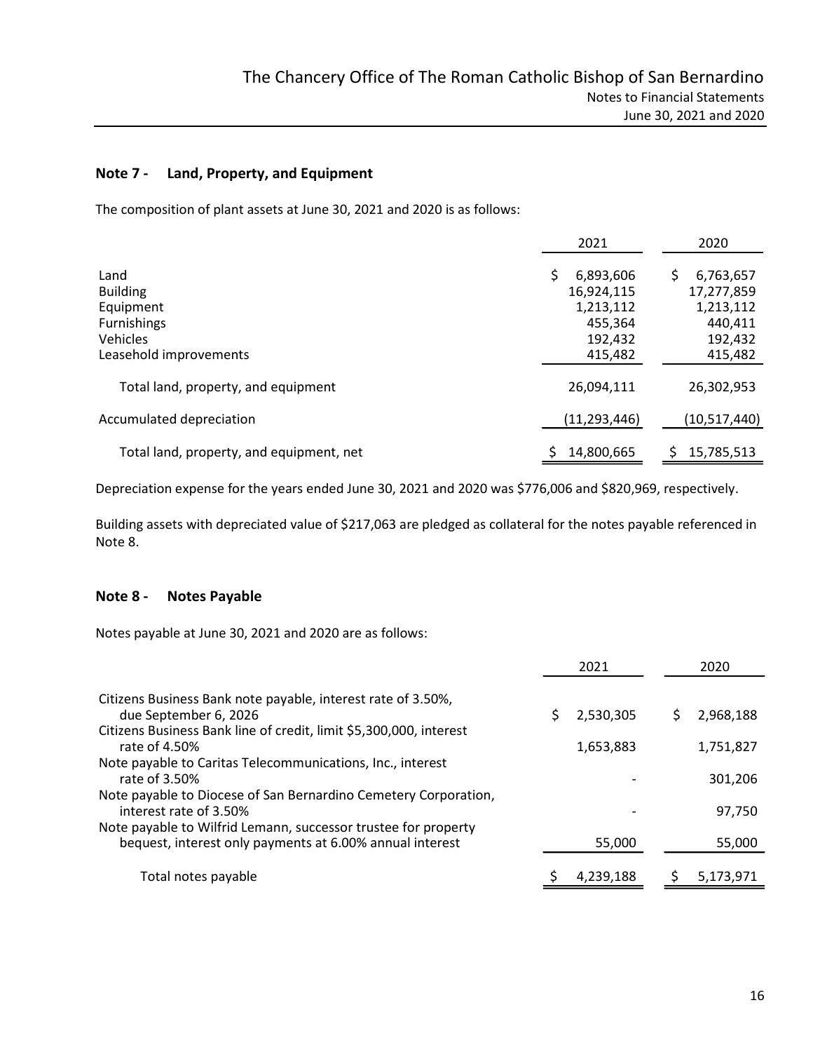### Note 7 - Land, Property, and Equipment

The composition of plant assets at June 30, 2021 and 2020 is as follows:

|                                          | 2021           | 2020         |
|------------------------------------------|----------------|--------------|
| Land                                     | 6,893,606      | 6,763,657    |
| <b>Building</b>                          | 16,924,115     | 17,277,859   |
| Equipment                                | 1,213,112      | 1,213,112    |
| <b>Furnishings</b>                       | 455,364        | 440,411      |
| Vehicles                                 | 192,432        | 192,432      |
| Leasehold improvements                   | 415,482        | 415,482      |
| Total land, property, and equipment      | 26,094,111     | 26,302,953   |
| Accumulated depreciation                 | (11, 293, 446) | (10,517,440) |
| Total land, property, and equipment, net | 14,800,665     | 15,785,513   |

Depreciation expense for the years ended June 30, 2021 and 2020 was \$776,006 and \$820,969, respectively.

Building assets with depreciated value of \$217,063 are pledged as collateral for the notes payable referenced in Note 8.

### Note 8 - Notes Payable

Notes payable at June 30, 2021 and 2020 are as follows:

| Citizens Business Bank note payable, interest rate of 3.50%,<br>due September 6, 2026<br>2,530,305<br>2.968.188<br>Citizens Business Bank line of credit, limit \$5,300,000, interest<br>rate of 4.50%<br>1,653,883<br>1,751,827<br>Note payable to Caritas Telecommunications, Inc., interest<br>rate of 3.50%<br>301,206<br>Note payable to Diocese of San Bernardino Cemetery Corporation,<br>interest rate of 3.50%<br>97,750<br>Note payable to Wilfrid Lemann, successor trustee for property<br>bequest, interest only payments at 6.00% annual interest<br>55,000<br>55,000<br>Total notes payable<br>5,173,971<br>4,239,188 | 2021 | 2020 |
|--------------------------------------------------------------------------------------------------------------------------------------------------------------------------------------------------------------------------------------------------------------------------------------------------------------------------------------------------------------------------------------------------------------------------------------------------------------------------------------------------------------------------------------------------------------------------------------------------------------------------------------|------|------|
|                                                                                                                                                                                                                                                                                                                                                                                                                                                                                                                                                                                                                                      |      |      |
|                                                                                                                                                                                                                                                                                                                                                                                                                                                                                                                                                                                                                                      |      |      |
|                                                                                                                                                                                                                                                                                                                                                                                                                                                                                                                                                                                                                                      |      |      |
|                                                                                                                                                                                                                                                                                                                                                                                                                                                                                                                                                                                                                                      |      |      |
|                                                                                                                                                                                                                                                                                                                                                                                                                                                                                                                                                                                                                                      |      |      |
|                                                                                                                                                                                                                                                                                                                                                                                                                                                                                                                                                                                                                                      |      |      |
|                                                                                                                                                                                                                                                                                                                                                                                                                                                                                                                                                                                                                                      |      |      |
|                                                                                                                                                                                                                                                                                                                                                                                                                                                                                                                                                                                                                                      |      |      |
|                                                                                                                                                                                                                                                                                                                                                                                                                                                                                                                                                                                                                                      |      |      |
|                                                                                                                                                                                                                                                                                                                                                                                                                                                                                                                                                                                                                                      |      |      |
|                                                                                                                                                                                                                                                                                                                                                                                                                                                                                                                                                                                                                                      |      |      |
|                                                                                                                                                                                                                                                                                                                                                                                                                                                                                                                                                                                                                                      |      |      |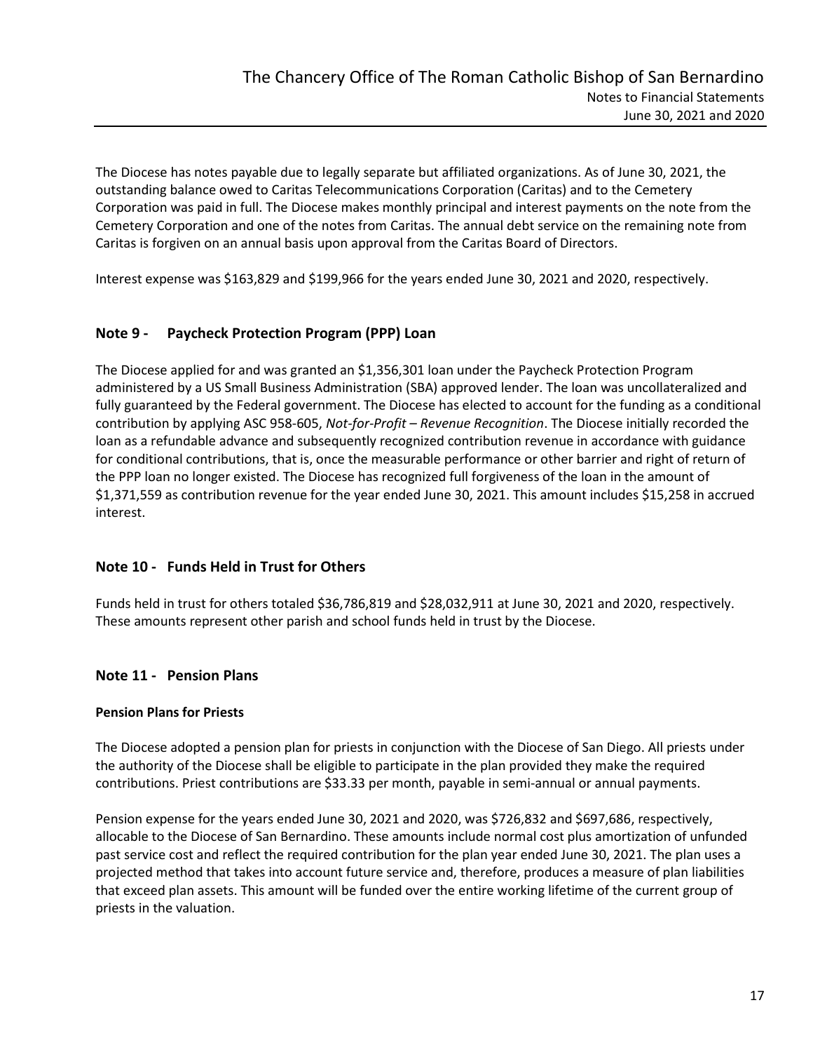The Diocese has notes payable due to legally separate but affiliated organizations. As of June 30, 2021, the outstanding balance owed to Caritas Telecommunications Corporation (Caritas) and to the Cemetery Corporation was paid in full. The Diocese makes monthly principal and interest payments on the note from the Cemetery Corporation and one of the notes from Caritas. The annual debt service on the remaining note from Caritas is forgiven on an annual basis upon approval from the Caritas Board of Directors.

Interest expense was \$163,829 and \$199,966 for the years ended June 30, 2021 and 2020, respectively.

### Note 9 - Paycheck Protection Program (PPP) Loan

The Diocese applied for and was granted an \$1,356,301 loan under the Paycheck Protection Program administered by a US Small Business Administration (SBA) approved lender. The loan was uncollateralized and fully guaranteed by the Federal government. The Diocese has elected to account for the funding as a conditional contribution by applying ASC 958-605, Not-for-Profit – Revenue Recognition. The Diocese initially recorded the loan as a refundable advance and subsequently recognized contribution revenue in accordance with guidance for conditional contributions, that is, once the measurable performance or other barrier and right of return of the PPP loan no longer existed. The Diocese has recognized full forgiveness of the loan in the amount of \$1,371,559 as contribution revenue for the year ended June 30, 2021. This amount includes \$15,258 in accrued interest.

### Note 10 - Funds Held in Trust for Others

Funds held in trust for others totaled \$36,786,819 and \$28,032,911 at June 30, 2021 and 2020, respectively. These amounts represent other parish and school funds held in trust by the Diocese.

### Note 11 - Pension Plans

### Pension Plans for Priests

The Diocese adopted a pension plan for priests in conjunction with the Diocese of San Diego. All priests under the authority of the Diocese shall be eligible to participate in the plan provided they make the required contributions. Priest contributions are \$33.33 per month, payable in semi-annual or annual payments.

Pension expense for the years ended June 30, 2021 and 2020, was \$726,832 and \$697,686, respectively, allocable to the Diocese of San Bernardino. These amounts include normal cost plus amortization of unfunded past service cost and reflect the required contribution for the plan year ended June 30, 2021. The plan uses a projected method that takes into account future service and, therefore, produces a measure of plan liabilities that exceed plan assets. This amount will be funded over the entire working lifetime of the current group of priests in the valuation.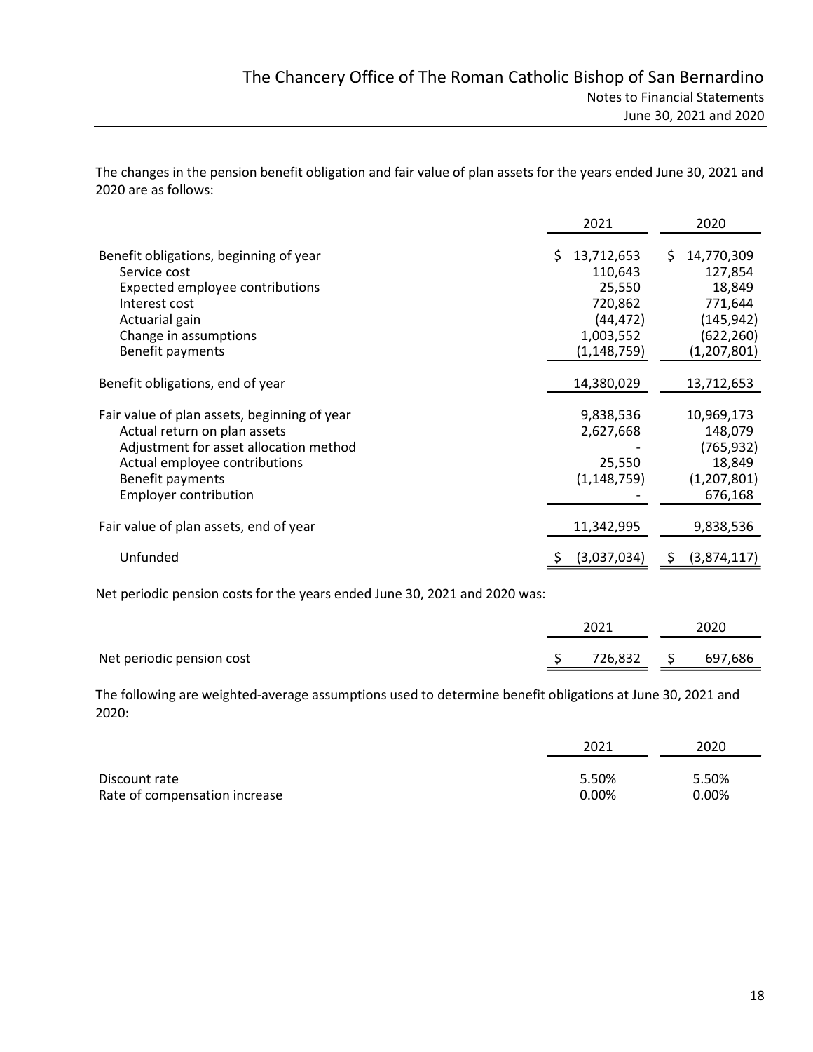The changes in the pension benefit obligation and fair value of plan assets for the years ended June 30, 2021 and 2020 are as follows:

|                                              | 2021             | 2020             |  |
|----------------------------------------------|------------------|------------------|--|
| Benefit obligations, beginning of year       | 13,712,653<br>S. | 14,770,309<br>S. |  |
| Service cost                                 | 110,643          | 127,854          |  |
| Expected employee contributions              | 25,550           | 18,849           |  |
| Interest cost                                | 720,862          | 771,644          |  |
| Actuarial gain                               | (44, 472)        | (145, 942)       |  |
| Change in assumptions                        | 1,003,552        | (622, 260)       |  |
| Benefit payments                             | (1, 148, 759)    | (1,207,801)      |  |
| Benefit obligations, end of year             | 14,380,029       | 13,712,653       |  |
| Fair value of plan assets, beginning of year | 9,838,536        | 10,969,173       |  |
| Actual return on plan assets                 | 2,627,668        | 148,079          |  |
| Adjustment for asset allocation method       |                  | (765, 932)       |  |
| Actual employee contributions                | 25,550           | 18,849           |  |
| Benefit payments                             | (1, 148, 759)    | (1, 207, 801)    |  |
| <b>Employer contribution</b>                 |                  | 676,168          |  |
| Fair value of plan assets, end of year       | 11,342,995       | 9,838,536        |  |
| Unfunded                                     | (3,037,034)      | (3,874,117)<br>S |  |
|                                              |                  |                  |  |

Net periodic pension costs for the years ended June 30, 2021 and 2020 was:

|                           | 2021    | 2020         |  |
|---------------------------|---------|--------------|--|
| Net periodic pension cost | 726,832 | 7,686<br>697 |  |

The following are weighted-average assumptions used to determine benefit obligations at June 30, 2021 and 2020:

| 2021<br>2020                                                                       |  |
|------------------------------------------------------------------------------------|--|
| 5.50%<br>5.50%<br>Discount rate<br>0.00%<br>Rate of compensation increase<br>0.00% |  |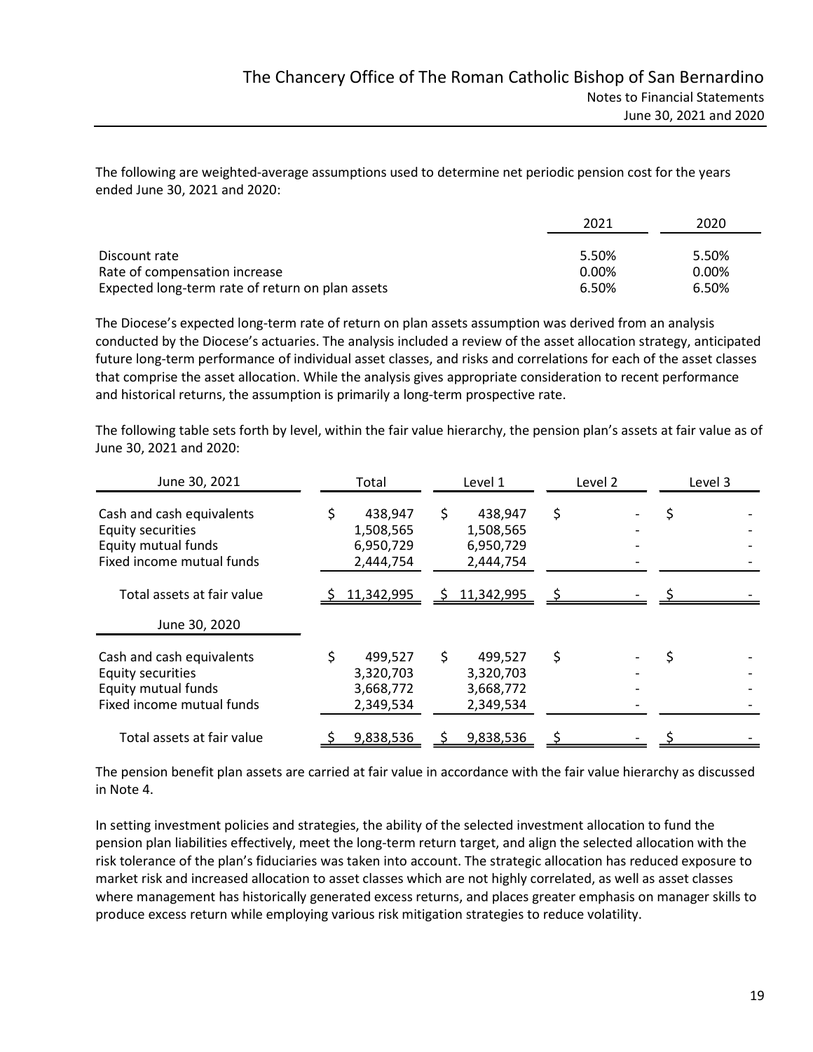The following are weighted-average assumptions used to determine net periodic pension cost for the years ended June 30, 2021 and 2020:

|                                                  | 2021  | 2020     |  |
|--------------------------------------------------|-------|----------|--|
| Discount rate                                    | 5.50% | 5.50%    |  |
| Rate of compensation increase                    | 0.00% | $0.00\%$ |  |
| Expected long-term rate of return on plan assets | 6.50% | 6.50%    |  |

The Diocese's expected long-term rate of return on plan assets assumption was derived from an analysis conducted by the Diocese's actuaries. The analysis included a review of the asset allocation strategy, anticipated future long-term performance of individual asset classes, and risks and correlations for each of the asset classes that comprise the asset allocation. While the analysis gives appropriate consideration to recent performance and historical returns, the assumption is primarily a long-term prospective rate.

The following table sets forth by level, within the fair value hierarchy, the pension plan's assets at fair value as of June 30, 2021 and 2020:

| June 30, 2021              | Total      | Level 1      | Level 2 | Level 3 |
|----------------------------|------------|--------------|---------|---------|
| Cash and cash equivalents  | 438,947    | 438,947      | \$.     |         |
| Equity securities          | 1,508,565  | 1,508,565    |         |         |
| Equity mutual funds        | 6,950,729  | 6,950,729    |         |         |
| Fixed income mutual funds  | 2,444,754  | 2,444,754    |         |         |
| Total assets at fair value | 11,342,995 | \$11,342,995 |         |         |
| June 30, 2020              |            |              |         |         |
| Cash and cash equivalents  | 499,527    | 499,527      | \$      |         |
| Equity securities          | 3,320,703  | 3,320,703    |         |         |
| Equity mutual funds        | 3,668,772  | 3,668,772    |         |         |
| Fixed income mutual funds  | 2,349,534  | 2,349,534    |         |         |
| Total assets at fair value | 9,838,536  | 9,838,536    |         |         |

The pension benefit plan assets are carried at fair value in accordance with the fair value hierarchy as discussed in Note 4.

In setting investment policies and strategies, the ability of the selected investment allocation to fund the pension plan liabilities effectively, meet the long-term return target, and align the selected allocation with the risk tolerance of the plan's fiduciaries was taken into account. The strategic allocation has reduced exposure to market risk and increased allocation to asset classes which are not highly correlated, as well as asset classes where management has historically generated excess returns, and places greater emphasis on manager skills to produce excess return while employing various risk mitigation strategies to reduce volatility.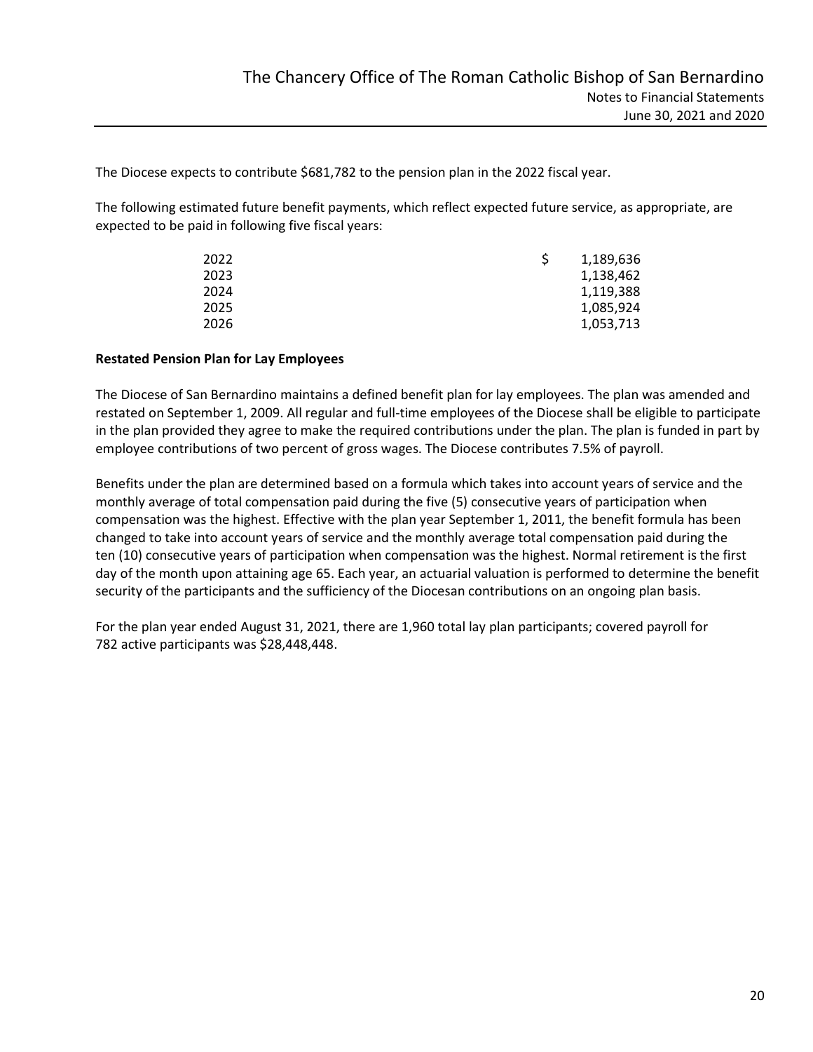The Diocese expects to contribute \$681,782 to the pension plan in the 2022 fiscal year.

The following estimated future benefit payments, which reflect expected future service, as appropriate, are expected to be paid in following five fiscal years:

| 2022 | 1,189,636 |
|------|-----------|
| 2023 | 1,138,462 |
| 2024 | 1,119,388 |
| 2025 | 1,085,924 |
| 2026 | 1,053,713 |

### Restated Pension Plan for Lay Employees

The Diocese of San Bernardino maintains a defined benefit plan for lay employees. The plan was amended and restated on September 1, 2009. All regular and full-time employees of the Diocese shall be eligible to participate in the plan provided they agree to make the required contributions under the plan. The plan is funded in part by employee contributions of two percent of gross wages. The Diocese contributes 7.5% of payroll.

Benefits under the plan are determined based on a formula which takes into account years of service and the monthly average of total compensation paid during the five (5) consecutive years of participation when compensation was the highest. Effective with the plan year September 1, 2011, the benefit formula has been changed to take into account years of service and the monthly average total compensation paid during the ten (10) consecutive years of participation when compensation was the highest. Normal retirement is the first day of the month upon attaining age 65. Each year, an actuarial valuation is performed to determine the benefit security of the participants and the sufficiency of the Diocesan contributions on an ongoing plan basis.

For the plan year ended August 31, 2021, there are 1,960 total lay plan participants; covered payroll for 782 active participants was \$28,448,448.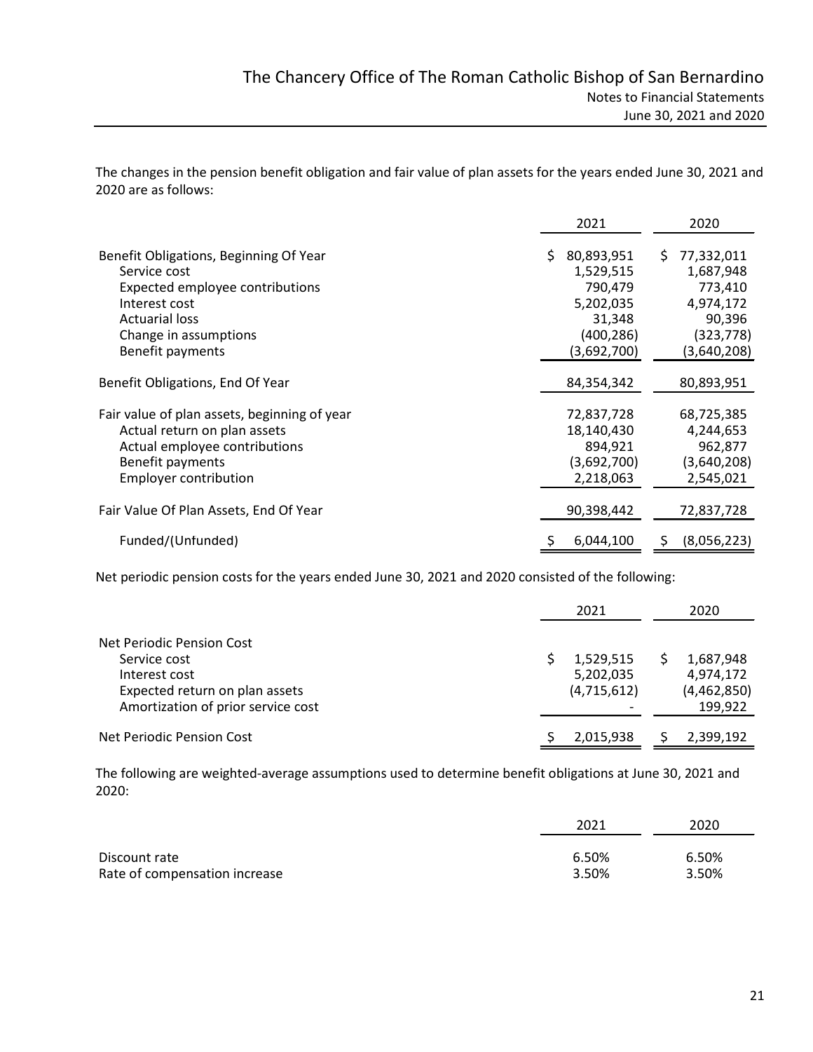The changes in the pension benefit obligation and fair value of plan assets for the years ended June 30, 2021 and 2020 are as follows:

|                                              | 2021            |             | 2020        |
|----------------------------------------------|-----------------|-------------|-------------|
| Benefit Obligations, Beginning Of Year       | 80,893,951<br>S | S.          | 77,332,011  |
| Service cost                                 |                 | 1,529,515   | 1,687,948   |
| Expected employee contributions              |                 | 790,479     | 773,410     |
| Interest cost                                |                 | 5,202,035   | 4,974,172   |
| <b>Actuarial loss</b>                        |                 | 31,348      | 90,396      |
| Change in assumptions                        |                 | (400, 286)  | (323, 778)  |
| Benefit payments                             |                 | (3,692,700) | (3,640,208) |
| Benefit Obligations, End Of Year             |                 | 84,354,342  | 80,893,951  |
| Fair value of plan assets, beginning of year |                 | 72,837,728  | 68,725,385  |
| Actual return on plan assets                 |                 | 18,140,430  | 4,244,653   |
| Actual employee contributions                |                 | 894,921     | 962,877     |
| Benefit payments                             |                 | (3,692,700) | (3,640,208) |
| Employer contribution                        |                 | 2,218,063   | 2,545,021   |
| Fair Value Of Plan Assets, End Of Year       |                 | 90,398,442  | 72,837,728  |
| Funded/(Unfunded)                            |                 | 6,044,100   | (8,056,223) |

Net periodic pension costs for the years ended June 30, 2021 and 2020 consisted of the following:

|                                    | 2021                     | 2020        |
|------------------------------------|--------------------------|-------------|
| Net Periodic Pension Cost          |                          |             |
| Service cost                       | 1,529,515                | 1,687,948   |
| Interest cost                      | 5,202,035                | 4,974,172   |
| Expected return on plan assets     | (4,715,612)              | (4,462,850) |
| Amortization of prior service cost | $\overline{\phantom{0}}$ | 199,922     |
| Net Periodic Pension Cost          | 2,015,938                | 2,399,192   |

The following are weighted-average assumptions used to determine benefit obligations at June 30, 2021 and 2020:

|                               | 2021  | 2020  |  |
|-------------------------------|-------|-------|--|
| Discount rate                 | 6.50% | 6.50% |  |
| Rate of compensation increase | 3.50% | 3.50% |  |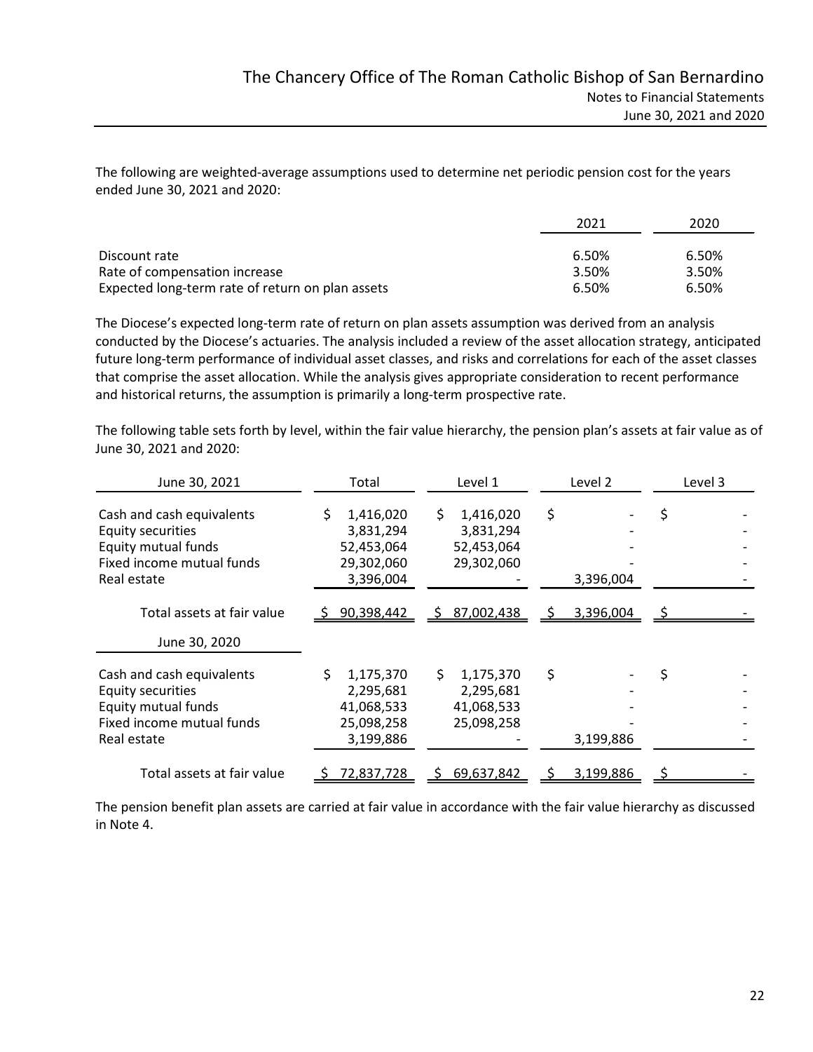The following are weighted-average assumptions used to determine net periodic pension cost for the years ended June 30, 2021 and 2020:

|                                                  | 2021  | 2020  |  |
|--------------------------------------------------|-------|-------|--|
| Discount rate                                    | 6.50% | 6.50% |  |
| Rate of compensation increase                    | 3.50% | 3.50% |  |
| Expected long-term rate of return on plan assets | 6.50% | 6.50% |  |

The Diocese's expected long-term rate of return on plan assets assumption was derived from an analysis conducted by the Diocese's actuaries. The analysis included a review of the asset allocation strategy, anticipated future long-term performance of individual asset classes, and risks and correlations for each of the asset classes that comprise the asset allocation. While the analysis gives appropriate consideration to recent performance and historical returns, the assumption is primarily a long-term prospective rate.

The following table sets forth by level, within the fair value hierarchy, the pension plan's assets at fair value as of June 30, 2021 and 2020:

| June 30, 2021              | Total      | Level 1          | Level 2        | Level 3 |  |
|----------------------------|------------|------------------|----------------|---------|--|
| Cash and cash equivalents  | 1,416,020  | S.<br>1,416,020  | \$             | Ś       |  |
| Equity securities          | 3,831,294  | 3,831,294        |                |         |  |
| Equity mutual funds        | 52,453,064 | 52,453,064       |                |         |  |
| Fixed income mutual funds  | 29,302,060 | 29,302,060       |                |         |  |
| Real estate                | 3,396,004  |                  | 3,396,004      |         |  |
| Total assets at fair value | 90,398,442 | 87,002,438<br>S. | 3,396,004<br>ς |         |  |
| June 30, 2020              |            |                  |                |         |  |
| Cash and cash equivalents  | 1,175,370  | S.<br>1,175,370  | \$             | \$      |  |
| Equity securities          | 2,295,681  | 2,295,681        |                |         |  |
| Equity mutual funds        | 41,068,533 | 41,068,533       |                |         |  |
| Fixed income mutual funds  | 25,098,258 | 25,098,258       |                |         |  |
| Real estate                | 3,199,886  |                  | 3,199,886      |         |  |
| Total assets at fair value | 72,837,728 | 69,637,842       | 3,199,886      |         |  |

The pension benefit plan assets are carried at fair value in accordance with the fair value hierarchy as discussed in Note 4.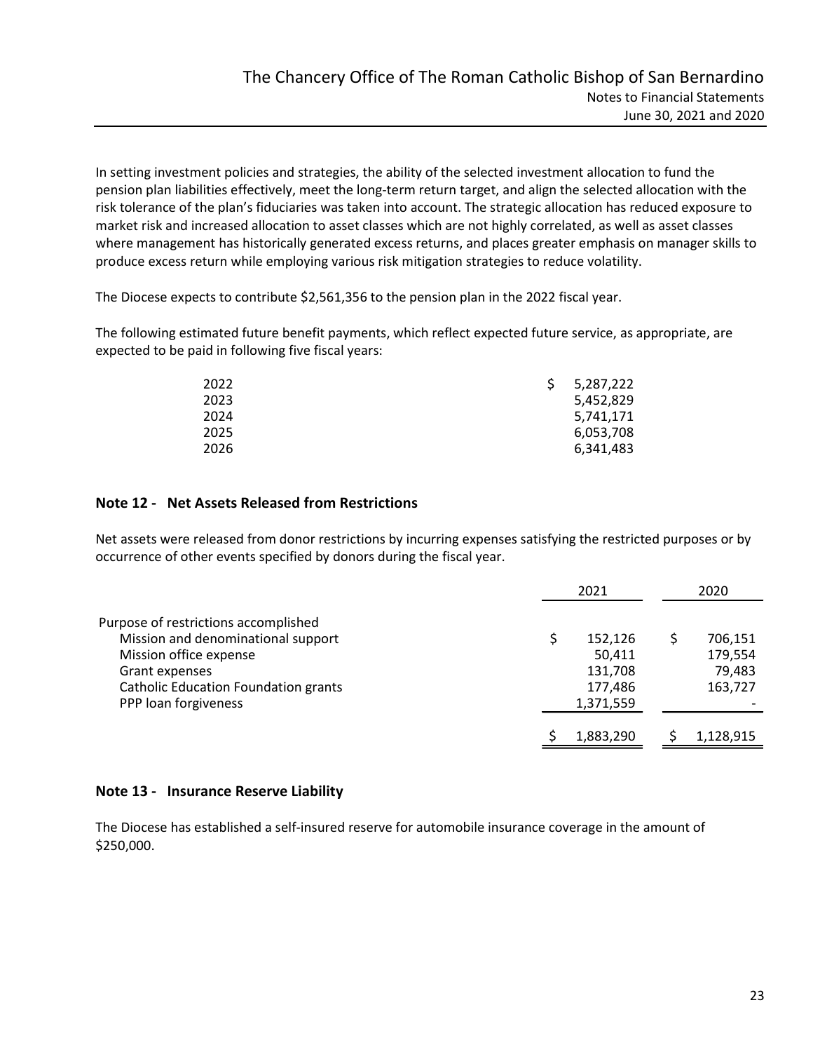In setting investment policies and strategies, the ability of the selected investment allocation to fund the pension plan liabilities effectively, meet the long-term return target, and align the selected allocation with the risk tolerance of the plan's fiduciaries was taken into account. The strategic allocation has reduced exposure to market risk and increased allocation to asset classes which are not highly correlated, as well as asset classes where management has historically generated excess returns, and places greater emphasis on manager skills to produce excess return while employing various risk mitigation strategies to reduce volatility.

The Diocese expects to contribute \$2,561,356 to the pension plan in the 2022 fiscal year.

The following estimated future benefit payments, which reflect expected future service, as appropriate, are expected to be paid in following five fiscal years:

| 2022 | Ś | 5,287,222 |
|------|---|-----------|
| 2023 |   | 5,452,829 |
| 2024 |   | 5,741,171 |
| 2025 |   | 6,053,708 |
| 2026 |   | 6,341,483 |
|      |   |           |

### Note 12 - Net Assets Released from Restrictions

Net assets were released from donor restrictions by incurring expenses satisfying the restricted purposes or by occurrence of other events specified by donors during the fiscal year.

|                                             | 2021      | 2020                     |  |  |
|---------------------------------------------|-----------|--------------------------|--|--|
| Purpose of restrictions accomplished        |           |                          |  |  |
| Mission and denominational support          | 152,126   | 706,151                  |  |  |
| Mission office expense                      | 50,411    | 179,554                  |  |  |
| Grant expenses                              | 131,708   | 79,483                   |  |  |
| <b>Catholic Education Foundation grants</b> | 177,486   | 163,727                  |  |  |
| PPP loan forgiveness                        | 1,371,559 | $\overline{\phantom{0}}$ |  |  |
|                                             | 1,883,290 | 1,128,915                |  |  |

### Note 13 - Insurance Reserve Liability

The Diocese has established a self-insured reserve for automobile insurance coverage in the amount of \$250,000.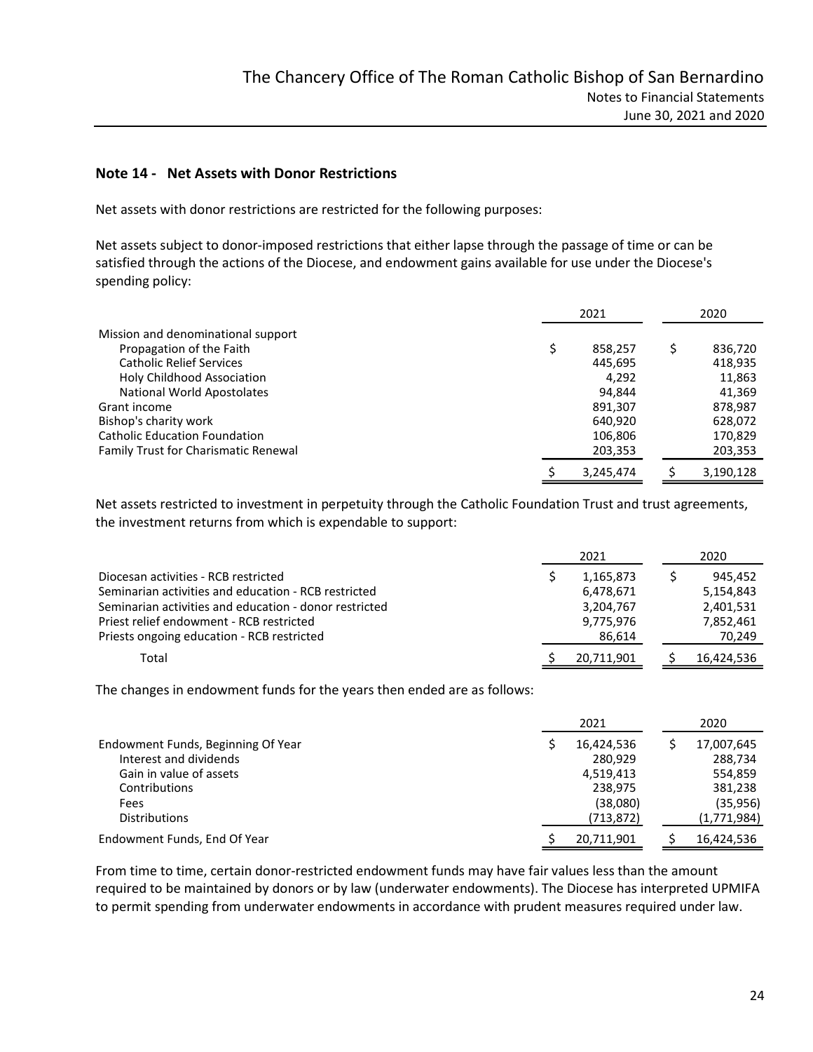### Note 14 - Net Assets with Donor Restrictions

Net assets with donor restrictions are restricted for the following purposes:

Net assets subject to donor-imposed restrictions that either lapse through the passage of time or can be satisfied through the actions of the Diocese, and endowment gains available for use under the Diocese's spending policy:

|                                      | 2021 |           |  | 2020      |  |  |
|--------------------------------------|------|-----------|--|-----------|--|--|
| Mission and denominational support   |      |           |  |           |  |  |
| Propagation of the Faith             |      | 858,257   |  | 836,720   |  |  |
| <b>Catholic Relief Services</b>      |      | 445,695   |  | 418,935   |  |  |
| <b>Holy Childhood Association</b>    |      | 4.292     |  | 11,863    |  |  |
| <b>National World Apostolates</b>    |      | 94.844    |  | 41,369    |  |  |
| Grant income                         |      | 891,307   |  | 878,987   |  |  |
| Bishop's charity work                |      | 640,920   |  | 628,072   |  |  |
| <b>Catholic Education Foundation</b> |      | 106,806   |  | 170,829   |  |  |
| Family Trust for Charismatic Renewal |      | 203,353   |  | 203,353   |  |  |
|                                      |      | 3,245,474 |  | 3,190,128 |  |  |

Net assets restricted to investment in perpetuity through the Catholic Foundation Trust and trust agreements, the investment returns from which is expendable to support:

|                                                        | 2021 |            |  | 2020       |  |  |
|--------------------------------------------------------|------|------------|--|------------|--|--|
| Diocesan activities - RCB restricted                   |      | 1,165,873  |  | 945.452    |  |  |
| Seminarian activities and education - RCB restricted   |      | 6,478,671  |  | 5,154,843  |  |  |
| Seminarian activities and education - donor restricted |      | 3,204,767  |  | 2,401,531  |  |  |
| Priest relief endowment - RCB restricted               |      | 9,775,976  |  | 7,852,461  |  |  |
| Priests ongoing education - RCB restricted             |      | 86.614     |  | 70,249     |  |  |
| Total                                                  |      | 20,711,901 |  | 16,424,536 |  |  |

The changes in endowment funds for the years then ended are as follows:

|                                    | 2021       | 2020        |
|------------------------------------|------------|-------------|
| Endowment Funds, Beginning Of Year | 16,424,536 | 17,007,645  |
| Interest and dividends             | 280,929    | 288,734     |
| Gain in value of assets            | 4,519,413  | 554,859     |
| Contributions                      | 238,975    | 381,238     |
| Fees                               | (38,080)   | (35, 956)   |
| <b>Distributions</b>               | (713,872)  | (1,771,984) |
| Endowment Funds, End Of Year       | 20,711,901 | 16,424,536  |

From time to time, certain donor-restricted endowment funds may have fair values less than the amount required to be maintained by donors or by law (underwater endowments). The Diocese has interpreted UPMIFA to permit spending from underwater endowments in accordance with prudent measures required under law.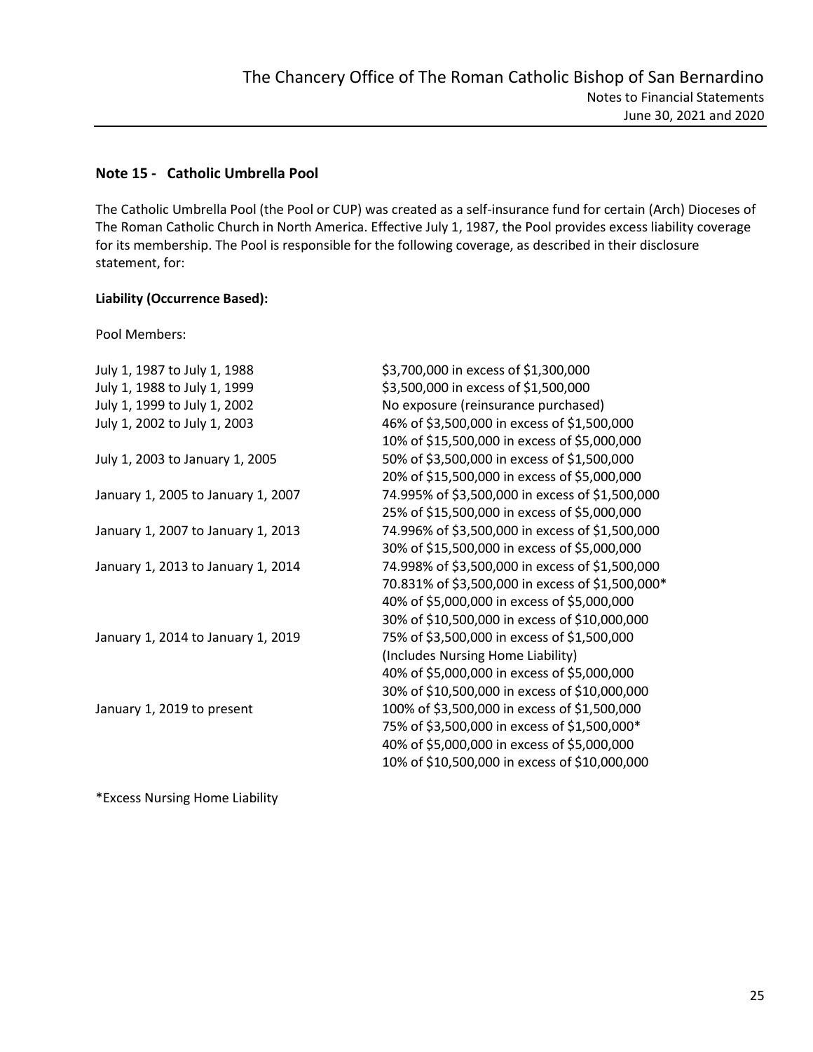### Note 15 - Catholic Umbrella Pool

The Catholic Umbrella Pool (the Pool or CUP) was created as a self-insurance fund for certain (Arch) Dioceses of The Roman Catholic Church in North America. Effective July 1, 1987, the Pool provides excess liability coverage for its membership. The Pool is responsible for the following coverage, as described in their disclosure statement, for:

### Liability (Occurrence Based):

Pool Members:

| July 1, 1987 to July 1, 1988       | \$3,700,000 in excess of \$1,300,000             |
|------------------------------------|--------------------------------------------------|
| July 1, 1988 to July 1, 1999       | \$3,500,000 in excess of \$1,500,000             |
| July 1, 1999 to July 1, 2002       | No exposure (reinsurance purchased)              |
| July 1, 2002 to July 1, 2003       | 46% of \$3,500,000 in excess of \$1,500,000      |
|                                    | 10% of \$15,500,000 in excess of \$5,000,000     |
| July 1, 2003 to January 1, 2005    | 50% of \$3,500,000 in excess of \$1,500,000      |
|                                    | 20% of \$15,500,000 in excess of \$5,000,000     |
| January 1, 2005 to January 1, 2007 | 74.995% of \$3,500,000 in excess of \$1,500,000  |
|                                    | 25% of \$15,500,000 in excess of \$5,000,000     |
| January 1, 2007 to January 1, 2013 | 74.996% of \$3,500,000 in excess of \$1,500,000  |
|                                    | 30% of \$15,500,000 in excess of \$5,000,000     |
| January 1, 2013 to January 1, 2014 | 74.998% of \$3,500,000 in excess of \$1,500,000  |
|                                    | 70.831% of \$3,500,000 in excess of \$1,500,000* |
|                                    | 40% of \$5,000,000 in excess of \$5,000,000      |
|                                    | 30% of \$10,500,000 in excess of \$10,000,000    |
| January 1, 2014 to January 1, 2019 | 75% of \$3,500,000 in excess of \$1,500,000      |
|                                    | (Includes Nursing Home Liability)                |
|                                    | 40% of \$5,000,000 in excess of \$5,000,000      |
|                                    | 30% of \$10,500,000 in excess of \$10,000,000    |
| January 1, 2019 to present         | 100% of \$3,500,000 in excess of \$1,500,000     |
|                                    | 75% of \$3,500,000 in excess of \$1,500,000*     |
|                                    | 40% of \$5,000,000 in excess of \$5,000,000      |
|                                    | 10% of \$10,500,000 in excess of \$10,000,000    |
|                                    |                                                  |

\*Excess Nursing Home Liability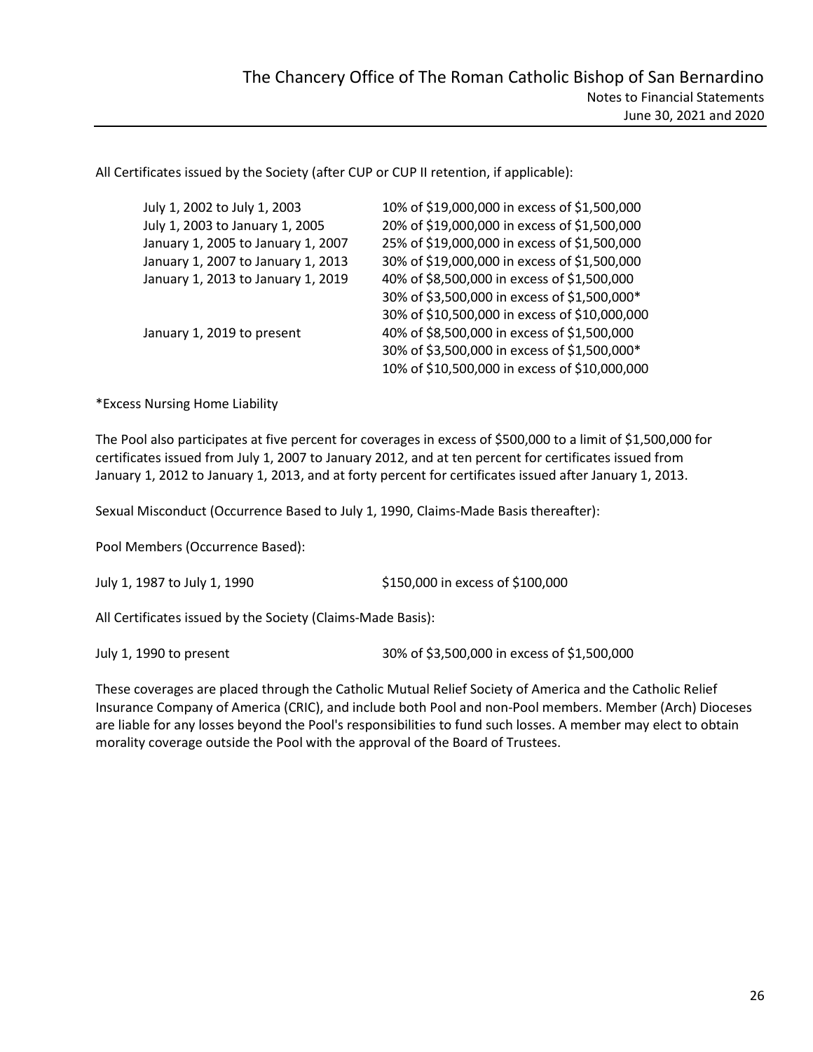All Certificates issued by the Society (after CUP or CUP II retention, if applicable):

| July 1, 2002 to July 1, 2003       | 10% of \$19,000,000 in excess of \$1,500,000  |
|------------------------------------|-----------------------------------------------|
| July 1, 2003 to January 1, 2005    | 20% of \$19,000,000 in excess of \$1,500,000  |
| January 1, 2005 to January 1, 2007 | 25% of \$19,000,000 in excess of \$1,500,000  |
| January 1, 2007 to January 1, 2013 | 30% of \$19,000,000 in excess of \$1,500,000  |
| January 1, 2013 to January 1, 2019 | 40% of \$8,500,000 in excess of \$1,500,000   |
|                                    | 30% of \$3,500,000 in excess of \$1,500,000*  |
|                                    | 30% of \$10,500,000 in excess of \$10,000,000 |
| January 1, 2019 to present         | 40% of \$8,500,000 in excess of \$1,500,000   |
|                                    | 30% of \$3,500,000 in excess of \$1,500,000*  |
|                                    | 10% of \$10,500,000 in excess of \$10,000,000 |
|                                    |                                               |

\*Excess Nursing Home Liability

The Pool also participates at five percent for coverages in excess of \$500,000 to a limit of \$1,500,000 for certificates issued from July 1, 2007 to January 2012, and at ten percent for certificates issued from January 1, 2012 to January 1, 2013, and at forty percent for certificates issued after January 1, 2013.

Sexual Misconduct (Occurrence Based to July 1, 1990, Claims-Made Basis thereafter):

Pool Members (Occurrence Based):

July 1, 1987 to July 1, 1990 \$150,000 in excess of \$100,000

All Certificates issued by the Society (Claims-Made Basis):

July 1, 1990 to present 30% of \$3,500,000 in excess of \$1,500,000

These coverages are placed through the Catholic Mutual Relief Society of America and the Catholic Relief Insurance Company of America (CRIC), and include both Pool and non-Pool members. Member (Arch) Dioceses are liable for any losses beyond the Pool's responsibilities to fund such losses. A member may elect to obtain morality coverage outside the Pool with the approval of the Board of Trustees.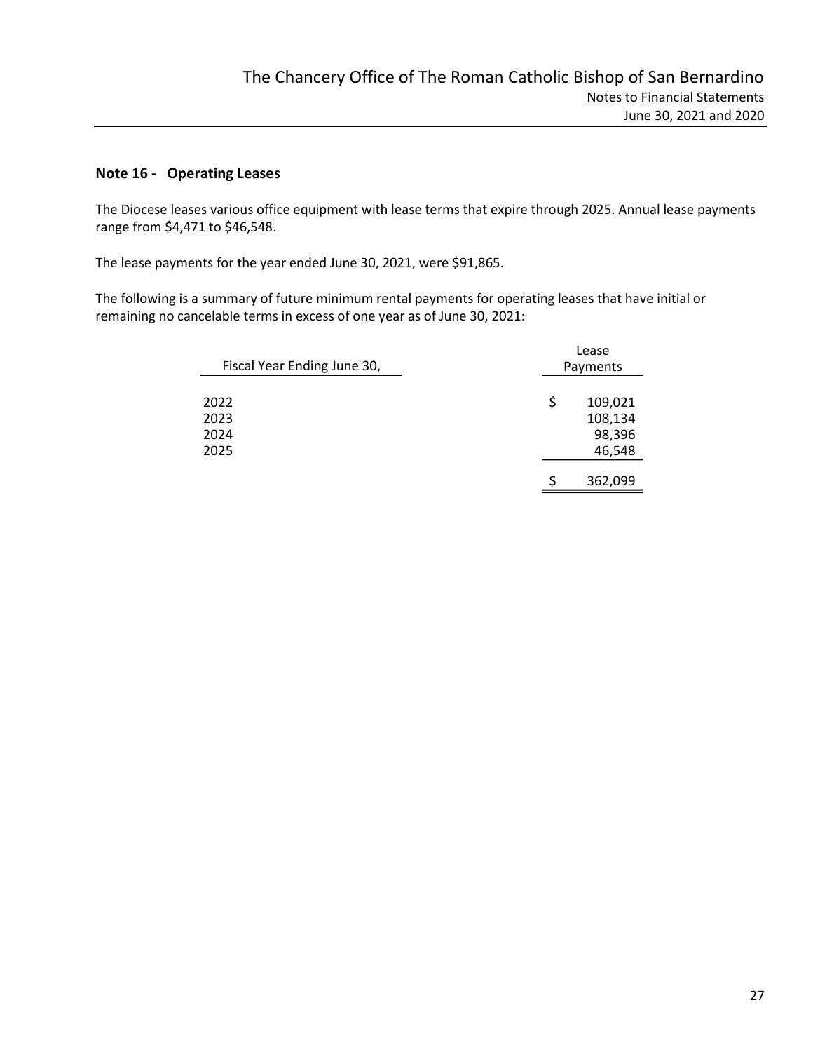### Note 16 - Operating Leases

The Diocese leases various office equipment with lease terms that expire through 2025. Annual lease payments range from \$4,471 to \$46,548.

The lease payments for the year ended June 30, 2021, were \$91,865.

The following is a summary of future minimum rental payments for operating leases that have initial or remaining no cancelable terms in excess of one year as of June 30, 2021:

| Fiscal Year Ending June 30,  | Lease<br>Payments                            |
|------------------------------|----------------------------------------------|
| 2022<br>2023<br>2024<br>2025 | \$<br>109,021<br>108,134<br>98,396<br>46,548 |
|                              | 362,099                                      |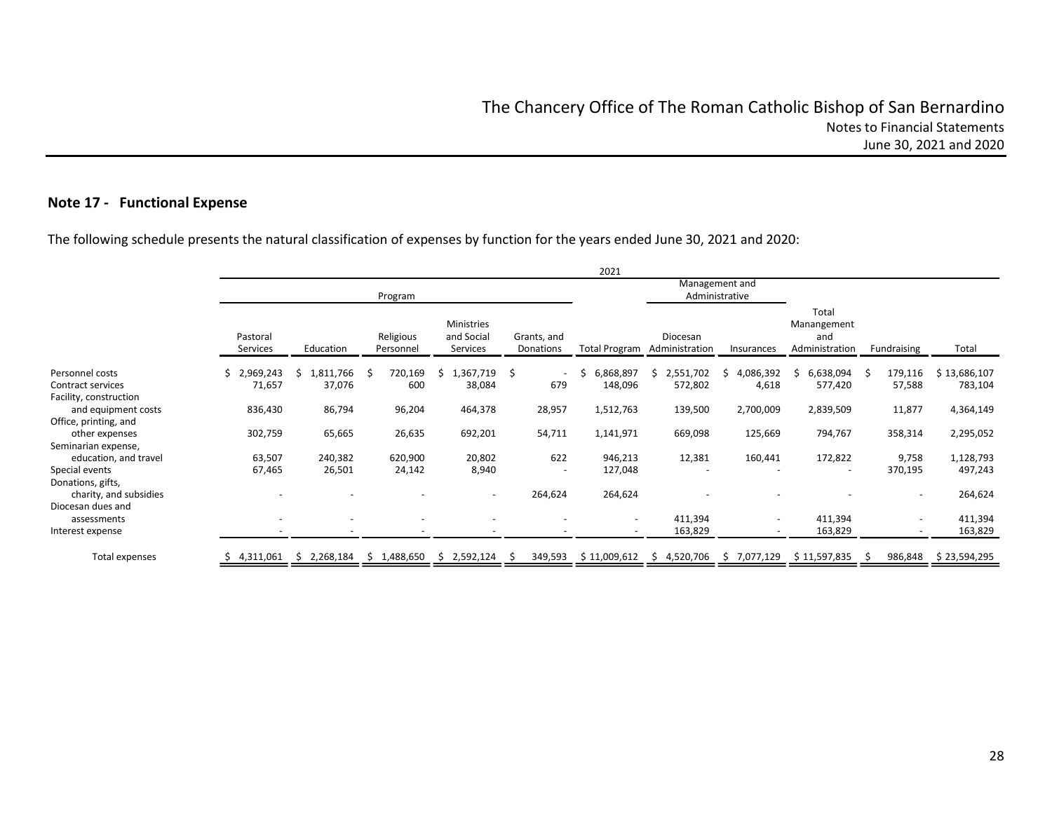# Note 17 - Functional Expense

The following schedule presents the natural classification of expenses by function for the years ended June 30, 2021 and 2020:

|                                 |                          |                          |                        |                                      |                          | 2021                 |                            |                                  |                                               |                                            |              |
|---------------------------------|--------------------------|--------------------------|------------------------|--------------------------------------|--------------------------|----------------------|----------------------------|----------------------------------|-----------------------------------------------|--------------------------------------------|--------------|
|                                 |                          |                          | Program                |                                      |                          |                      |                            | Management and<br>Administrative |                                               |                                            |              |
|                                 | Pastoral<br>Services     | Education                | Religious<br>Personnel | Ministries<br>and Social<br>Services | Grants, and<br>Donations | <b>Total Program</b> | Diocesan<br>Administration | Insurances                       | Total<br>Manangement<br>and<br>Administration | Fundraising                                | Total        |
| Personnel costs                 | 2,969,243                | 1,811,766                | 720,169<br>- S         | l,367,719 \$<br>Ŝ.                   | $\sim$                   | 6,868,897            | 2,551,702                  | 4,086,392                        | 6,638,094                                     | 179,116                                    | \$13,686,107 |
| Contract services               | 71,657                   | 37,076                   | 600                    | 38,084                               | 679                      | 148,096              | 572,802                    | 4,618                            | 577,420                                       | 57,588                                     | 783,104      |
| Facility, construction          |                          |                          |                        |                                      |                          |                      |                            |                                  |                                               |                                            |              |
| and equipment costs             | 836,430                  | 86,794                   | 96,204                 | 464,378                              | 28,957                   | 1,512,763            | 139,500                    | 2,700,009                        | 2,839,509                                     | 11,877                                     | 4,364,149    |
| Office, printing, and           |                          |                          |                        |                                      |                          |                      |                            |                                  |                                               |                                            |              |
| other expenses                  | 302,759                  | 65,665                   | 26,635                 | 692,201                              | 54,711                   | 1,141,971            | 669,098                    | 125,669                          | 794,767                                       | 358,314                                    | 2,295,052    |
| Seminarian expense,             |                          |                          |                        |                                      |                          |                      |                            |                                  |                                               |                                            |              |
| education, and travel           | 63,507                   | 240,382                  | 620,900                | 20,802                               | 622                      | 946,213              | 12,381                     | 160,441                          | 172,822                                       | 9,758                                      | 1,128,793    |
| Special events                  | 67,465                   | 26,501                   | 24,142                 | 8,940                                | $\overline{\phantom{a}}$ | 127,048              | $\overline{\phantom{a}}$   |                                  | $\overline{\phantom{a}}$                      | 370,195                                    | 497,243      |
| Donations, gifts,               |                          |                          |                        |                                      |                          |                      |                            |                                  |                                               |                                            |              |
| charity, and subsidies          |                          | $\overline{\phantom{a}}$ |                        | $\overline{\phantom{a}}$             | 264,624                  | 264,624              | $\overline{\phantom{a}}$   |                                  | $\overline{\phantom{a}}$                      | $\overline{\phantom{a}}$                   | 264,624      |
| Diocesan dues and               | $\overline{\phantom{0}}$ |                          |                        |                                      |                          |                      | 411,394                    | $\overline{\phantom{a}}$         | 411,394                                       |                                            | 411,394      |
| assessments<br>Interest expense |                          | $\overline{\phantom{a}}$ |                        | $\overline{\phantom{a}}$             | $\overline{\phantom{a}}$ |                      | 163,829                    |                                  | 163,829                                       | $\overline{\phantom{a}}$<br>$\overline{a}$ | 163,829      |
|                                 |                          |                          |                        |                                      |                          |                      |                            |                                  |                                               |                                            |              |
| Total expenses                  | 4,311,061                | 2,268,184<br>-S.         | \$1,488,650            | \$2,592,124                          | 349,593                  | \$11,009,612         | \$4,520,706                | 7,077,129<br>S.                  | \$11,597,835                                  | 986,848<br>-5                              | \$23,594,295 |
|                                 |                          |                          |                        |                                      |                          |                      |                            |                                  |                                               |                                            |              |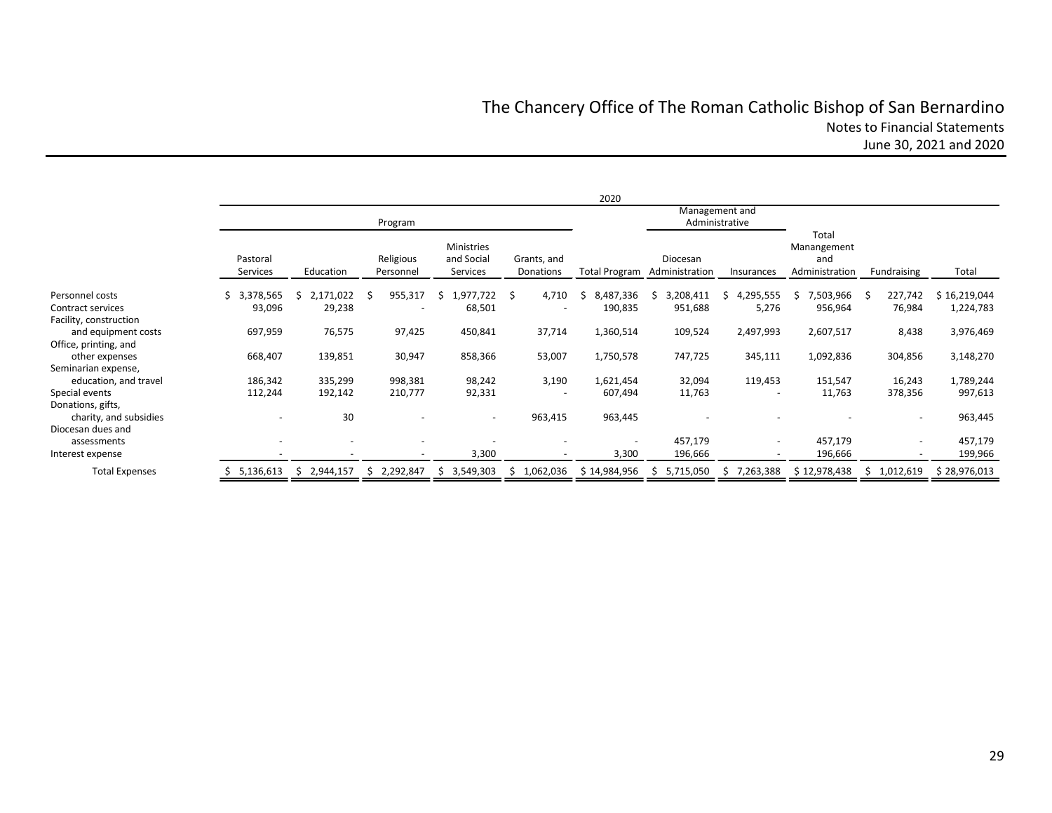## The Chancery Office of The Roman Catholic Bishop of San Bernardino Notes to Financial Statements June 30, 2021 and 2020

|                        |                          |             |                          |                                      |                          | 2020                 |                                  |                          |                                               |                 |              |
|------------------------|--------------------------|-------------|--------------------------|--------------------------------------|--------------------------|----------------------|----------------------------------|--------------------------|-----------------------------------------------|-----------------|--------------|
|                        |                          |             | Program                  |                                      |                          |                      | Management and<br>Administrative |                          |                                               |                 |              |
|                        | Pastoral<br>Services     | Education   | Religious<br>Personnel   | Ministries<br>and Social<br>Services | Grants, and<br>Donations | <b>Total Program</b> | Diocesan<br>Administration       | Insurances               | Total<br>Manangement<br>and<br>Administration | Fundraising     | Total        |
| Personnel costs        | 3,378,565                | 2,171,022   | 955,317                  | 1,977,722<br>S.                      | 4,710<br>- S             | 8,487,336            | 3,208,411                        | 4,295,555<br>-S          | 7,503,966 \$<br>S                             | 227,742         | \$16,219,044 |
| Contract services      | 93,096                   | 29,238      | $\overline{\phantom{0}}$ | 68,501                               | $\overline{\phantom{a}}$ | 190,835              | 951,688                          | 5,276                    | 956,964                                       | 76,984          | 1,224,783    |
| Facility, construction |                          |             |                          |                                      |                          |                      |                                  |                          |                                               |                 |              |
| and equipment costs    | 697,959                  | 76,575      | 97,425                   | 450,841                              | 37,714                   | 1,360,514            | 109,524                          | 2,497,993                | 2,607,517                                     | 8,438           | 3,976,469    |
| Office, printing, and  |                          |             |                          |                                      |                          |                      |                                  |                          |                                               |                 |              |
| other expenses         | 668,407                  | 139,851     | 30,947                   | 858,366                              | 53,007                   | 1,750,578            | 747,725                          | 345,111                  | 1,092,836                                     | 304,856         | 3,148,270    |
| Seminarian expense,    |                          |             |                          |                                      |                          |                      |                                  |                          |                                               |                 |              |
| education, and travel  | 186,342                  | 335,299     | 998,381                  | 98,242                               | 3,190                    | 1,621,454            | 32,094                           | 119,453                  | 151,547                                       | 16,243          | 1,789,244    |
| Special events         | 112,244                  | 192,142     | 210,777                  | 92,331                               | $\overline{\phantom{a}}$ | 607,494              | 11,763                           | $\overline{\phantom{0}}$ | 11,763                                        | 378,356         | 997,613      |
| Donations, gifts,      |                          |             |                          |                                      |                          |                      |                                  |                          |                                               |                 |              |
| charity, and subsidies | $\overline{\phantom{a}}$ | 30          | $\overline{\phantom{a}}$ | $\sim$                               | 963,415                  | 963,445              | $\overline{\phantom{a}}$         | $\overline{\phantom{a}}$ | $\overline{\phantom{a}}$                      | $\sim$          | 963,445      |
| Diocesan dues and      |                          |             |                          |                                      |                          |                      |                                  |                          |                                               |                 |              |
| assessments            | $\overline{\phantom{a}}$ |             |                          |                                      |                          |                      | 457,179                          | $\sim$                   | 457,179                                       | $\sim$          | 457,179      |
| Interest expense       |                          |             |                          | 3,300                                |                          | 3,300                | 196,666                          |                          | 196,666                                       |                 | 199,966      |
| <b>Total Expenses</b>  | 5,136,613                | \$2,944,157 | 2,292,847<br>S.          | 3,549,303<br>S.                      | 1,062,036                | \$14,984,956         | 5,715,050<br>S.                  | \$7,263,388              | \$12,978,438                                  | 1,012,619<br>S. | \$28,976,013 |
|                        |                          |             |                          |                                      |                          |                      |                                  |                          |                                               |                 |              |